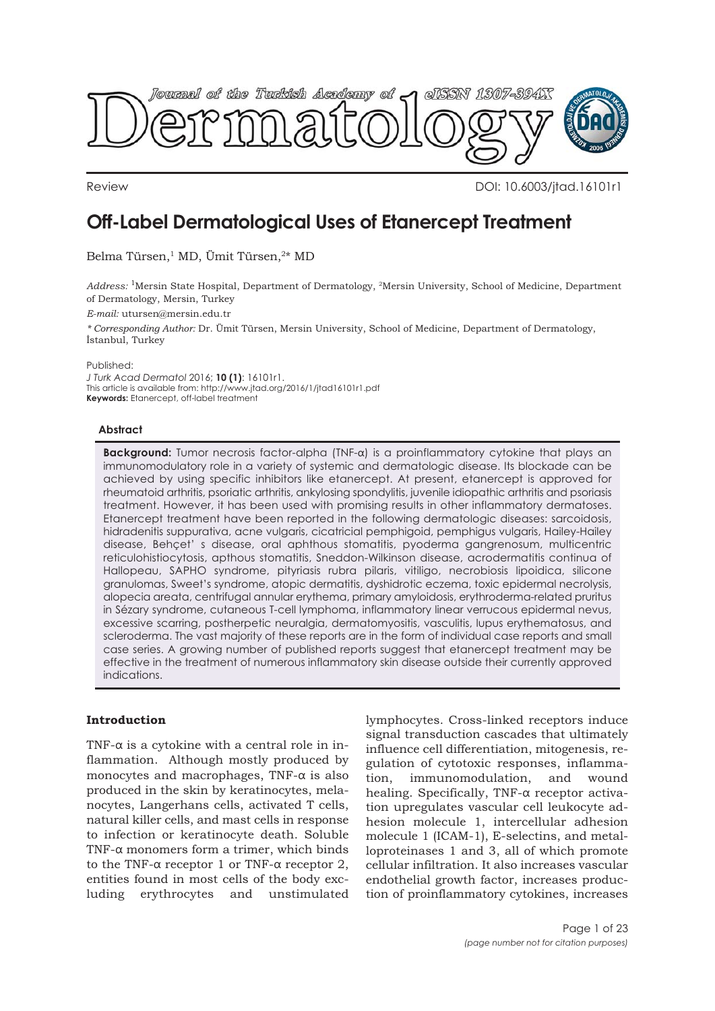

Review DOI: 10.6003/jtad.16101r1

# **Off-Label Dermatological Uses of Etanercept Treatment**

Belma Türsen,<sup>1</sup> MD, Ümit Türsen,<sup>2\*</sup> MD

*Address:* 1Mersin State Hospital, Department of Dermatology, 2Mersin University, School of Medicine, Department of Dermatology, Mersin, Turkey

*E-mail:* utursen@mersin.edu.tr

*\* Corresponding Author:* Dr. Ümit Türsen, Mersin University, School of Medicine, Department of Dermatology, İstanbul, Turkey

Published:

*J Turk Acad Dermatol* 2016; **10 (1)**: 16101r1. This article is available from: http://www.jtad.org/2016/1/jtad16101r1.pdf **Keywords:** Etanercept, off-label treatment

# **Abstract**

**Background:** Tumor necrosis factor-alpha (TNF-α) is a proinflammatory cytokine that plays an immunomodulatory role in a variety of systemic and dermatologic disease. Its blockade can be achieved by using specific inhibitors like etanercept. At present, etanercept is approved for rheumatoid arthritis, psoriatic arthritis, ankylosing spondylitis, juvenile idiopathic arthritis and psoriasis treatment. However, it has been used with promising results in other inflammatory dermatoses. Etanercept treatment have been reported in the following dermatologic diseases: sarcoidosis, hidradenitis suppurativa, acne vulgaris, cicatricial pemphigoid, pemphigus vulgaris, Hailey-Hailey disease, Behçet' s disease, oral aphthous stomatitis, pyoderma gangrenosum, multicentric reticulohistiocytosis, apthous stomatitis, Sneddon-Wilkinson disease, acrodermatitis continua of Hallopeau, SAPHO syndrome, pityriasis rubra pilaris, vitiligo, necrobiosis lipoidica, silicone granulomas, Sweet's syndrome, atopic dermatitis, dyshidrotic eczema, toxic epidermal necrolysis, alopecia areata, centrifugal annular erythema, primary amyloidosis, erythroderma-related pruritus in Sézary syndrome, cutaneous T-cell lymphoma, inflammatory linear verrucous epidermal nevus, excessive scarring, postherpetic neuralgia, dermatomyositis, vasculitis, lupus erythematosus, and scleroderma. The vast majority of these reports are in the form of individual case reports and small case series. A growing number of published reports suggest that etanercept treatment may be effective in the treatment of numerous inflammatory skin disease outside their currently approved indications.

# **Introduction**

TNF- $\alpha$  is a cytokine with a central role in inflammation. Although mostly produced by monocytes and macrophages, TNF- $\alpha$  is also produced in the skin by keratinocytes, melanocytes, Langerhans cells, activated T cells, natural killer cells, and mast cells in response to infection or keratinocyte death. Soluble TNF-α monomers form a trimer, which binds to the TNF-α receptor 1 or TNF-α receptor 2, entities found in most cells of the body excluding erythrocytes and unstimulated lymphocytes. Cross-linked receptors induce signal transduction cascades that ultimately influence cell differentiation, mitogenesis, regulation of cytotoxic responses, inflammation, immunomodulation, and wound healing. Specifically, TNF-α receptor activation upregulates vascular cell leukocyte adhesion molecule 1, intercellular adhesion molecule 1 (ICAM-1), E-selectins, and metalloproteinases 1 and 3, all of which promote cellular infiltration. It also increases vascular endothelial growth factor, increases production of proinflammatory cytokines, increases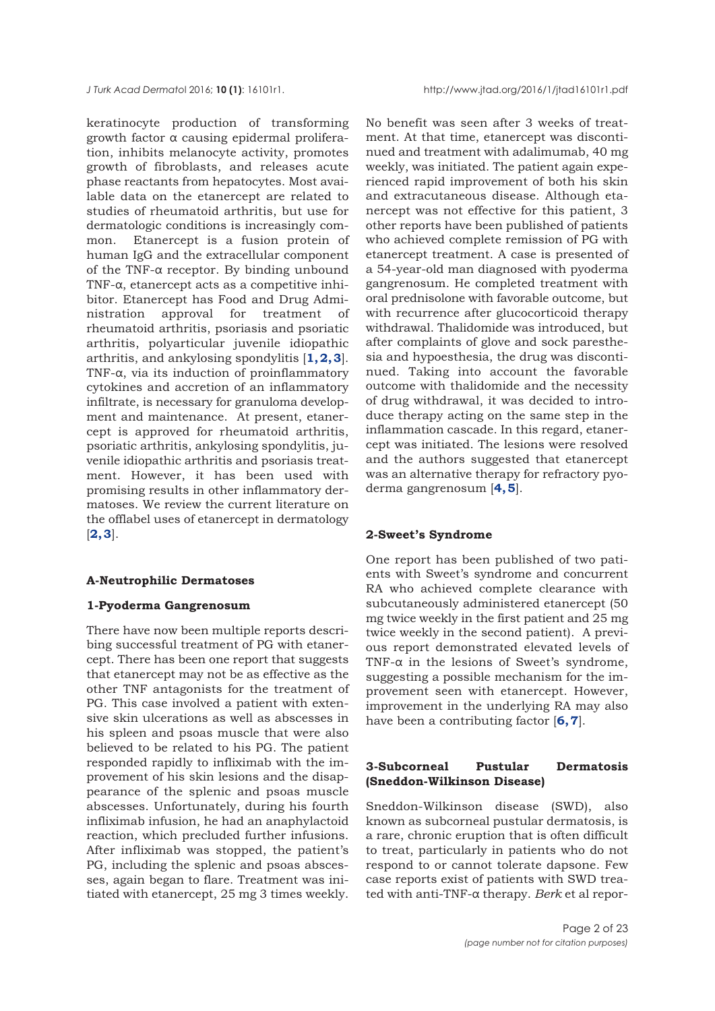keratinocyte production of transforming growth factor α causing epidermal proliferation, inhibits melanocyte activity, promotes growth of fibroblasts, and releases acute phase reactants from hepatocytes. Most available data on the etanercept are related to studies of rheumatoid arthritis, but use for dermatologic conditions is increasingly common. Etanercept is a fusion protein of human IgG and the extracellular component of the TNF-α receptor. By binding unbound TNF-α, etanercept acts as a competitive inhibitor. Etanercept has Food and Drug Administration approval for treatment of rheumatoid arthritis, psoriasis and psoriatic arthritis, polyarticular juvenile idiopathic arthritis, and ankylosing spondylitis [**[1, 2, 3](#page-19-0)**]. TNF-α, via its induction of proinflammatory cytokines and accretion of an inflammatory infiltrate, is necessary for granuloma development and maintenance. At present, etanercept is approved for rheumatoid arthritis, psoriatic arthritis, ankylosing spondylitis, juvenile idiopathic arthritis and psoriasis treatment. However, it has been used with promising results in other inflammatory dermatoses. We review the current literature on the offlabel uses of etanercept in dermatology [**[2, 3](#page-19-0)**].

## **A-Neutrophilic Dermatoses**

## **1-Pyoderma Gangrenosum**

There have now been multiple reports describing successful treatment of PG with etanercept. There has been one report that suggests that etanercept may not be as effective as the other TNF antagonists for the treatment of PG. This case involved a patient with extensive skin ulcerations as well as abscesses in his spleen and psoas muscle that were also believed to be related to his PG. The patient responded rapidly to infliximab with the improvement of his skin lesions and the disappearance of the splenic and psoas muscle abscesses. Unfortunately, during his fourth infliximab infusion, he had an anaphylactoid reaction, which precluded further infusions. After infliximab was stopped, the patient's PG, including the splenic and psoas abscesses, again began to flare. Treatment was initiated with etanercept, 25 mg 3 times weekly.

No benefit was seen after 3 weeks of treatment. At that time, etanercept was discontinued and treatment with adalimumab, 40 mg weekly, was initiated. The patient again experienced rapid improvement of both his skin and extracutaneous disease. Although etanercept was not effective for this patient, 3 other reports have been published of patients who achieved complete remission of PG with etanercept treatment. A case is presented of a 54-year-old man diagnosed with pyoderma gangrenosum. He completed treatment with oral prednisolone with favorable outcome, but with recurrence after glucocorticoid therapy withdrawal. Thalidomide was introduced, but after complaints of glove and sock paresthesia and hypoesthesia, the drug was discontinued. Taking into account the favorable outcome with thalidomide and the necessity of drug withdrawal, it was decided to introduce therapy acting on the same step in the inflammation cascade. In this regard, etanercept was initiated. The lesions were resolved and the authors suggested that etanercept was an alternative therapy for refractory pyoderma gangrenosum [**[4, 5](#page-19-0)**].

## **2-Sweet's Syndrome**

One report has been published of two patients with Sweet's syndrome and concurrent RA who achieved complete clearance with subcutaneously administered etanercept (50 mg twice weekly in the first patient and 25 mg twice weekly in the second patient). A previous report demonstrated elevated levels of TNF- $\alpha$  in the lesions of Sweet's syndrome, suggesting a possible mechanism for the improvement seen with etanercept. However, improvement in the underlying RA may also have been a contributing factor [**[6, 7](#page-19-0)**].

# **3-Subcorneal Pustular Dermatosis (Sneddon-Wilkinson Disease)**

Sneddon-Wilkinson disease (SWD), also known as subcorneal pustular dermatosis, is a rare, chronic eruption that is often difficult to treat, particularly in patients who do not respond to or cannot tolerate dapsone. Few case reports exist of patients with SWD treated with anti-TNF-α therapy. *Berk* et al repor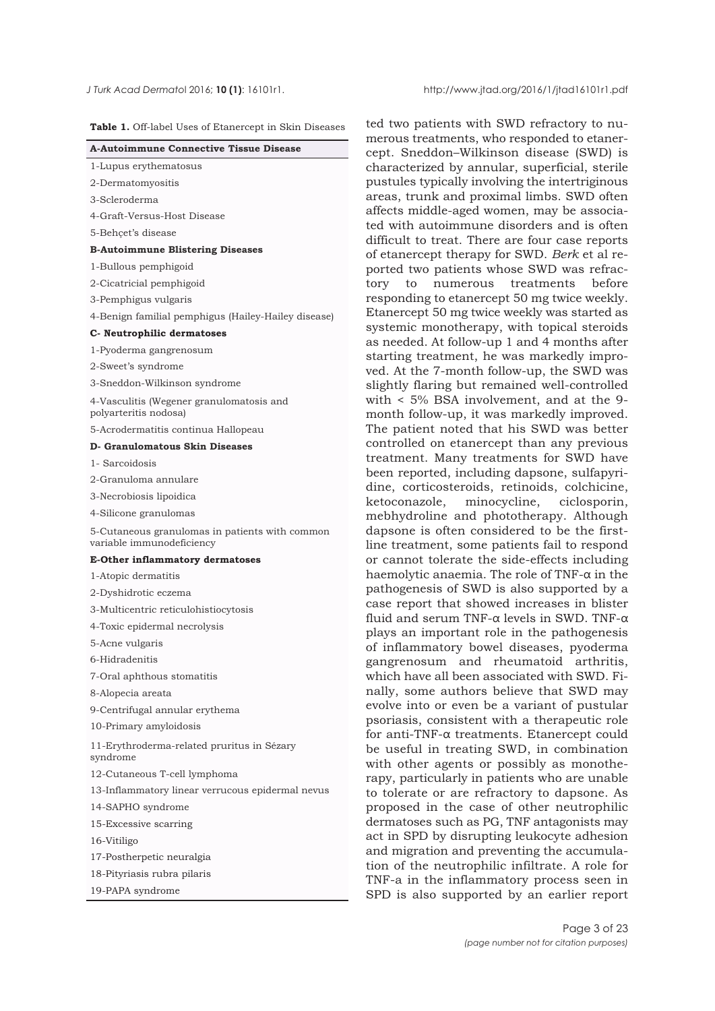**Table 1.** Off-label Uses of Etanercept in Skin Diseases

| <b>A-Autoimmune Connective Tissue Disease</b>                               |
|-----------------------------------------------------------------------------|
|                                                                             |
| 1-Lupus erythematosus                                                       |
| 2-Dermatomyositis                                                           |
| 3-Scleroderma                                                               |
| 4-Graft-Versus-Host Disease                                                 |
| 5-Behçet's disease                                                          |
| <b>B-Autoimmune Blistering Diseases</b>                                     |
| 1-Bullous pemphigoid                                                        |
| 2-Cicatricial pemphigoid                                                    |
| 3-Pemphigus vulgaris                                                        |
| 4-Benign familial pemphigus (Hailey-Hailey disease)                         |
| C- Neutrophilic dermatoses                                                  |
| 1-Pyoderma gangrenosum                                                      |
| 2-Sweet's syndrome                                                          |
| 3-Sneddon-Wilkinson syndrome                                                |
| 4-Vasculitis (Wegener granulomatosis and<br>polyarteritis nodosa)           |
| 5-Acrodermatitis continua Hallopeau                                         |
| <b>D- Granulomatous Skin Diseases</b>                                       |
| 1- Sarcoidosis                                                              |
| 2-Granuloma annulare                                                        |
| 3-Necrobiosis lipoidica                                                     |
| 4-Silicone granulomas                                                       |
| 5-Cutaneous granulomas in patients with common<br>variable immunodeficiency |
| <b>E-Other inflammatory dermatoses</b>                                      |
| 1-Atopic dermatitis                                                         |
| 2-Dyshidrotic eczema                                                        |
| 3-Multicentric reticulohistiocytosis                                        |
| 4-Toxic epidermal necrolysis                                                |
| 5-Acne vulgaris                                                             |
| 6-Hidradenitis                                                              |
| 7-Oral aphthous stomatitis                                                  |
| 8-Alopecia areata                                                           |
| 9-Centrifugal annular erythema                                              |
| 10-Primary amyloidosis                                                      |
| 11-Erythroderma-related pruritus in Sézary<br>syndrome                      |
| 12-Cutaneous T-cell lymphoma                                                |
| 13-Inflammatory linear verrucous epidermal nevus                            |
| 14-SAPHO syndrome                                                           |
| 15-Excessive scarring                                                       |
| 16-Vitiligo                                                                 |
| 17-Postherpetic neuralgia                                                   |
| 18-Pityriasis rubra pilaris                                                 |
| 19-PAPA syndrome                                                            |
|                                                                             |

ted two patients with SWD refractory to numerous treatments, who responded to etanercept. Sneddon–Wilkinson disease (SWD) is characterized by annular, superficial, sterile pustules typically involving the intertriginous areas, trunk and proximal limbs. SWD often affects middle-aged women, may be associated with autoimmune disorders and is often difficult to treat. There are four case reports of etanercept therapy for SWD. *Berk* et al reported two patients whose SWD was refractory to numerous treatments before responding to etanercept 50 mg twice weekly. Etanercept 50 mg twice weekly was started as systemic monotherapy, with topical steroids as needed. At follow-up 1 and 4 months after starting treatment, he was markedly improved. At the 7-month follow-up, the SWD was slightly flaring but remained well-controlled with < 5% BSA involvement, and at the 9 month follow-up, it was markedly improved. The patient noted that his SWD was better controlled on etanercept than any previous treatment. Many treatments for SWD have been reported, including dapsone, sulfapyridine, corticosteroids, retinoids, colchicine, ketoconazole, minocycline, ciclosporin, mebhydroline and phototherapy. Although dapsone is often considered to be the firstline treatment, some patients fail to respond or cannot tolerate the side-effects including haemolytic anaemia. The role of TNF-α in the pathogenesis of SWD is also supported by a case report that showed increases in blister fluid and serum TNF-α levels in SWD. TNF-α plays an important role in the pathogenesis of inflammatory bowel diseases, pyoderma gangrenosum and rheumatoid arthritis, which have all been associated with SWD. Finally, some authors believe that SWD may evolve into or even be a variant of pustular psoriasis, consistent with a therapeutic role for anti-TNF-α treatments. Etanercept could be useful in treating SWD, in combination with other agents or possibly as monotherapy, particularly in patients who are unable to tolerate or are refractory to dapsone. As proposed in the case of other neutrophilic dermatoses such as PG, TNF antagonists may act in SPD by disrupting leukocyte adhesion and migration and preventing the accumulation of the neutrophilic infiltrate. A role for TNF-a in the inflammatory process seen in SPD is also supported by an earlier report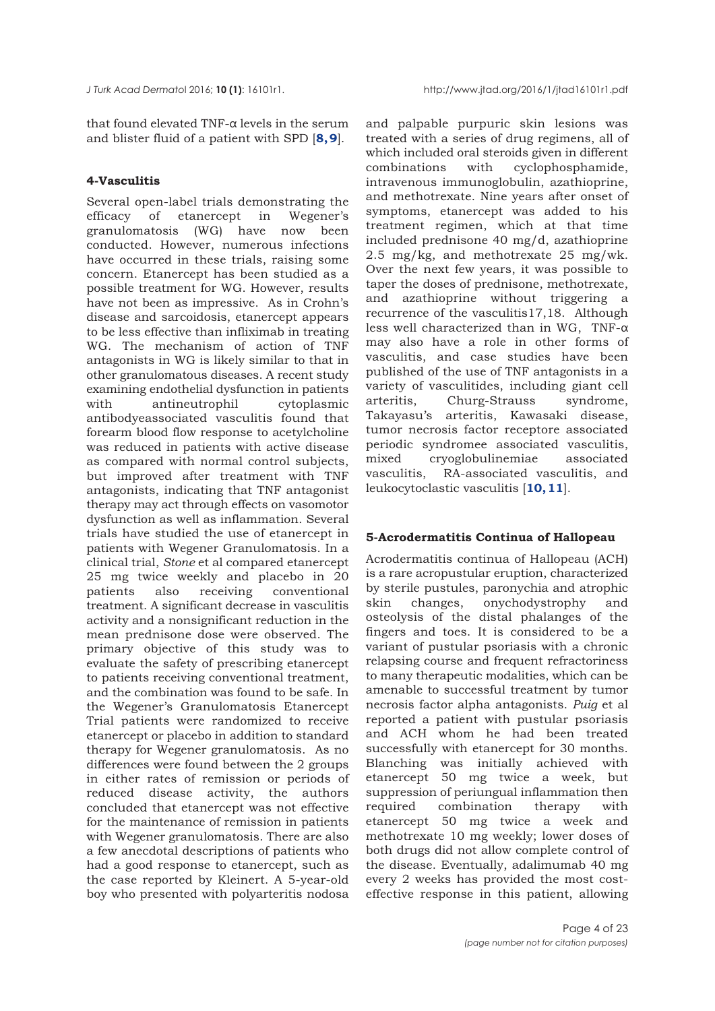that found elevated TNF- $\alpha$  levels in the serum and blister fluid of a patient with SPD [**[8, 9](#page-19-0)**].

## **4-Vasculitis**

Several open-label trials demonstrating the efficacy of etanercept in Wegener's granulomatosis (WG) have now been conducted. However, numerous infections have occurred in these trials, raising some concern. Etanercept has been studied as a possible treatment for WG. However, results have not been as impressive. As in Crohn's disease and sarcoidosis, etanercept appears to be less effective than infliximab in treating WG. The mechanism of action of TNF antagonists in WG is likely similar to that in other granulomatous diseases. A recent study examining endothelial dysfunction in patients with antineutrophil cytoplasmic antibodyeassociated vasculitis found that forearm blood flow response to acetylcholine was reduced in patients with active disease as compared with normal control subjects, but improved after treatment with TNF antagonists, indicating that TNF antagonist therapy may act through effects on vasomotor dysfunction as well as inflammation. Several trials have studied the use of etanercept in patients with Wegener Granulomatosis. In a clinical trial, *Stone* et al compared etanercept 25 mg twice weekly and placebo in 20 patients also receiving conventional treatment. A significant decrease in vasculitis activity and a nonsignificant reduction in the mean prednisone dose were observed. The primary objective of this study was to evaluate the safety of prescribing etanercept to patients receiving conventional treatment, and the combination was found to be safe. In the Wegener's Granulomatosis Etanercept Trial patients were randomized to receive etanercept or placebo in addition to standard therapy for Wegener granulomatosis. As no differences were found between the 2 groups in either rates of remission or periods of reduced disease activity, the authors concluded that etanercept was not effective for the maintenance of remission in patients with Wegener granulomatosis. There are also a few anecdotal descriptions of patients who had a good response to etanercept, such as the case reported by Kleinert. A 5-year-old boy who presented with polyarteritis nodosa

and palpable purpuric skin lesions was treated with a series of drug regimens, all of which included oral steroids given in different combinations with cyclophosphamide, intravenous immunoglobulin, azathioprine, and methotrexate. Nine years after onset of symptoms, etanercept was added to his treatment regimen, which at that time included prednisone 40 mg/d, azathioprine 2.5 mg/kg, and methotrexate 25 mg/wk. Over the next few years, it was possible to taper the doses of prednisone, methotrexate, and azathioprine without triggering a recurrence of the vasculitis17,18. Although less well characterized than in WG, TNF- $\alpha$ may also have a role in other forms of vasculitis, and case studies have been published of the use of TNF antagonists in a variety of vasculitides, including giant cell arteritis, Churg-Strauss syndrome, Takayasu's arteritis, Kawasaki disease, tumor necrosis factor receptore associated periodic syndromee associated vasculitis, mixed cryoglobulinemiae associated vasculitis, RA-associated vasculitis, and leukocytoclastic vasculitis [**[10, 11](#page-20-0)**].

# **5-Acrodermatitis Continua of Hallopeau**

Acrodermatitis continua of Hallopeau (ACH) is a rare acropustular eruption, characterized by sterile pustules, paronychia and atrophic skin changes, onychodystrophy and osteolysis of the distal phalanges of the fingers and toes. It is considered to be a variant of pustular psoriasis with a chronic relapsing course and frequent refractoriness to many therapeutic modalities, which can be amenable to successful treatment by tumor necrosis factor alpha antagonists. *Puig* et al reported a patient with pustular psoriasis and ACH whom he had been treated successfully with etanercept for 30 months. Blanching was initially achieved with etanercept 50 mg twice a week, but suppression of periungual inflammation then required combination therapy with etanercept 50 mg twice a week and methotrexate 10 mg weekly; lower doses of both drugs did not allow complete control of the disease. Eventually, adalimumab 40 mg every 2 weeks has provided the most costeffective response in this patient, allowing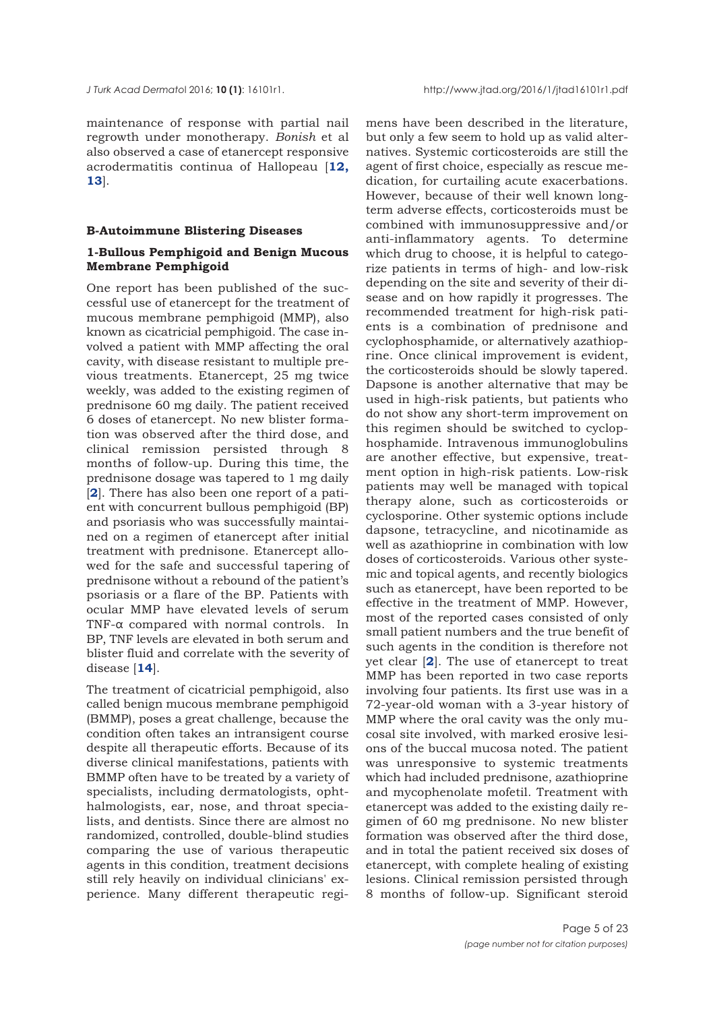maintenance of response with partial nail regrowth under monotherapy. *Bonish* et al also observed a case of etanercept responsive acrodermatitis continua of Hallopeau [**[12,](#page-19-0) [13](#page-19-0)**].

#### **B-Autoimmune Blistering Diseases**

## **1-Bullous Pemphigoid and Benign Mucous Membrane Pemphigoid**

One report has been published of the successful use of etanercept for the treatment of mucous membrane pemphigoid (MMP), also known as cicatricial pemphigoid. The case involved a patient with MMP affecting the oral cavity, with disease resistant to multiple previous treatments. Etanercept, 25 mg twice weekly, was added to the existing regimen of prednisone 60 mg daily. The patient received 6 doses of etanercept. No new blister formation was observed after the third dose, and clinical remission persisted through 8 months of follow-up. During this time, the prednisone dosage was tapered to 1 mg daily [**[2](#page-19-0)**]. There has also been one report of a patient with concurrent bullous pemphigoid (BP) and psoriasis who was successfully maintained on a regimen of etanercept after initial treatment with prednisone. Etanercept allowed for the safe and successful tapering of prednisone without a rebound of the patient's psoriasis or a flare of the BP. Patients with ocular MMP have elevated levels of serum TNF-α compared with normal controls. In BP, TNF levels are elevated in both serum and blister fluid and correlate with the severity of disease [**[14](#page-20-0)**].

The treatment of cicatricial pemphigoid, also called benign mucous membrane pemphigoid (BMMP), poses a great challenge, because the condition often takes an intransigent course despite all therapeutic efforts. Because of its diverse clinical manifestations, patients with BMMP often have to be treated by a variety of specialists, including dermatologists, ophthalmologists, ear, nose, and throat specialists, and dentists. Since there are almost no randomized, controlled, double-blind studies comparing the use of various therapeutic agents in this condition, treatment decisions still rely heavily on individual clinicians' experience. Many different therapeutic regimens have been described in the literature, but only a few seem to hold up as valid alternatives. Systemic corticosteroids are still the agent of first choice, especially as rescue medication, for curtailing acute exacerbations. However, because of their well known longterm adverse effects, corticosteroids must be combined with immunosuppressive and/or anti-inflammatory agents. To determine which drug to choose, it is helpful to categorize patients in terms of high- and low-risk depending on the site and severity of their disease and on how rapidly it progresses. The recommended treatment for high-risk patients is a combination of prednisone and cyclophosphamide, or alternatively azathioprine. Once clinical improvement is evident, the corticosteroids should be slowly tapered. Dapsone is another alternative that may be used in high-risk patients, but patients who do not show any short-term improvement on this regimen should be switched to cyclophosphamide. Intravenous immunoglobulins are another effective, but expensive, treatment option in high-risk patients. Low-risk patients may well be managed with topical therapy alone, such as corticosteroids or cyclosporine. Other systemic options include dapsone, tetracycline, and nicotinamide as well as azathioprine in combination with low doses of corticosteroids. Various other systemic and topical agents, and recently biologics such as etanercept, have been reported to be effective in the treatment of MMP. However, most of the reported cases consisted of only small patient numbers and the true benefit of such agents in the condition is therefore not yet clear [**[2](#page-19-0)**]. The use of etanercept to treat MMP has been reported in two case reports involving four patients. Its first use was in a 72-year-old woman with a 3-year history of MMP where the oral cavity was the only mucosal site involved, with marked erosive lesions of the buccal mucosa noted. The patient was unresponsive to systemic treatments which had included prednisone, azathioprine and mycophenolate mofetil. Treatment with etanercept was added to the existing daily regimen of 60 mg prednisone. No new blister formation was observed after the third dose, and in total the patient received six doses of etanercept, with complete healing of existing lesions. Clinical remission persisted through 8 months of follow-up. Significant steroid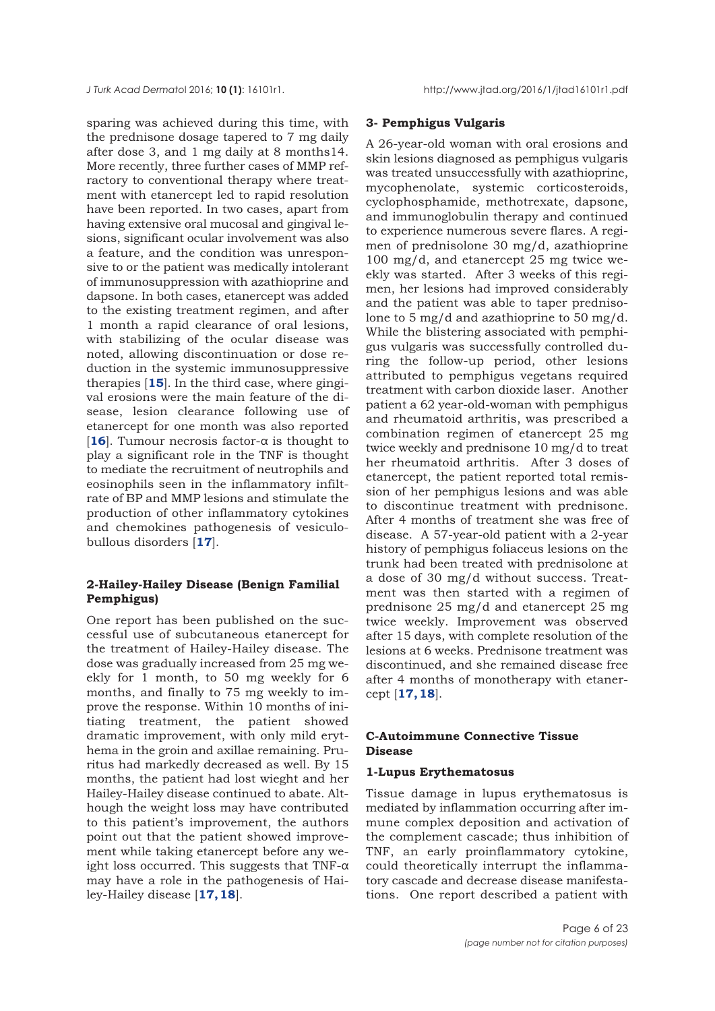sparing was achieved during this time, with the prednisone dosage tapered to 7 mg daily after dose 3, and 1 mg daily at 8 months14. More recently, three further cases of MMP refractory to conventional therapy where treatment with etanercept led to rapid resolution have been reported. In two cases, apart from having extensive oral mucosal and gingival lesions, significant ocular involvement was also a feature, and the condition was unresponsive to or the patient was medically intolerant of immunosuppression with azathioprine and dapsone. In both cases, etanercept was added to the existing treatment regimen, and after 1 month a rapid clearance of oral lesions, with stabilizing of the ocular disease was noted, allowing discontinuation or dose reduction in the systemic immunosuppressive therapies [**[15](#page-20-0)**]. In the third case, where gingival erosions were the main feature of the disease, lesion clearance following use of etanercept for one month was also reported [[16](#page-20-0)]. Tumour necrosis factor- $\alpha$  is thought to play a significant role in the TNF is thought to mediate the recruitment of neutrophils and eosinophils seen in the inflammatory infiltrate of BP and MMP lesions and stimulate the production of other inflammatory cytokines and chemokines pathogenesis of vesiculobullous disorders [**[17](#page-20-0)**].

# **2-Hailey-Hailey Disease (Benign Familial Pemphigus)**

One report has been published on the successful use of subcutaneous etanercept for the treatment of Hailey-Hailey disease. The dose was gradually increased from 25 mg weekly for 1 month, to 50 mg weekly for 6 months, and finally to 75 mg weekly to improve the response. Within 10 months of initiating treatment, the patient showed dramatic improvement, with only mild erythema in the groin and axillae remaining. Pruritus had markedly decreased as well. By 15 months, the patient had lost wieght and her Hailey-Hailey disease continued to abate. Although the weight loss may have contributed to this patient's improvement, the authors point out that the patient showed improvement while taking etanercept before any weight loss occurred. This suggests that TNF-α may have a role in the pathogenesis of Hailey-Hailey disease [**[17, 18](#page-20-0)**].

### **3- Pemphigus Vulgaris**

A 26-year-old woman with oral erosions and skin lesions diagnosed as pemphigus vulgaris was treated unsuccessfully with azathioprine, mycophenolate, systemic corticosteroids, cyclophosphamide, methotrexate, dapsone, and immunoglobulin therapy and continued to experience numerous severe flares. A regimen of prednisolone 30 mg/d, azathioprine 100 mg/d, and etanercept 25 mg twice weekly was started. After 3 weeks of this regimen, her lesions had improved considerably and the patient was able to taper prednisolone to 5 mg/d and azathioprine to 50 mg/d. While the blistering associated with pemphigus vulgaris was successfully controlled during the follow-up period, other lesions attributed to pemphigus vegetans required treatment with carbon dioxide laser. Another patient a 62 year-old-woman with pemphigus and rheumatoid arthritis, was prescribed a combination regimen of etanercept 25 mg twice weekly and prednisone 10 mg/d to treat her rheumatoid arthritis. After 3 doses of etanercept, the patient reported total remission of her pemphigus lesions and was able to discontinue treatment with prednisone. After 4 months of treatment she was free of disease. A 57-year-old patient with a 2-year history of pemphigus foliaceus lesions on the trunk had been treated with prednisolone at a dose of 30 mg/d without success. Treatment was then started with a regimen of prednisone 25 mg/d and etanercept 25 mg twice weekly. Improvement was observed after 15 days, with complete resolution of the lesions at 6 weeks. Prednisone treatment was discontinued, and she remained disease free after 4 months of monotherapy with etanercept [**[17, 18](#page-20-0)**].

# **C-Autoimmune Connective Tissue Disease**

# **1-Lupus Erythematosus**

Tissue damage in lupus erythematosus is mediated by inflammation occurring after immune complex deposition and activation of the complement cascade; thus inhibition of TNF, an early proinflammatory cytokine, could theoretically interrupt the inflammatory cascade and decrease disease manifestations. One report described a patient with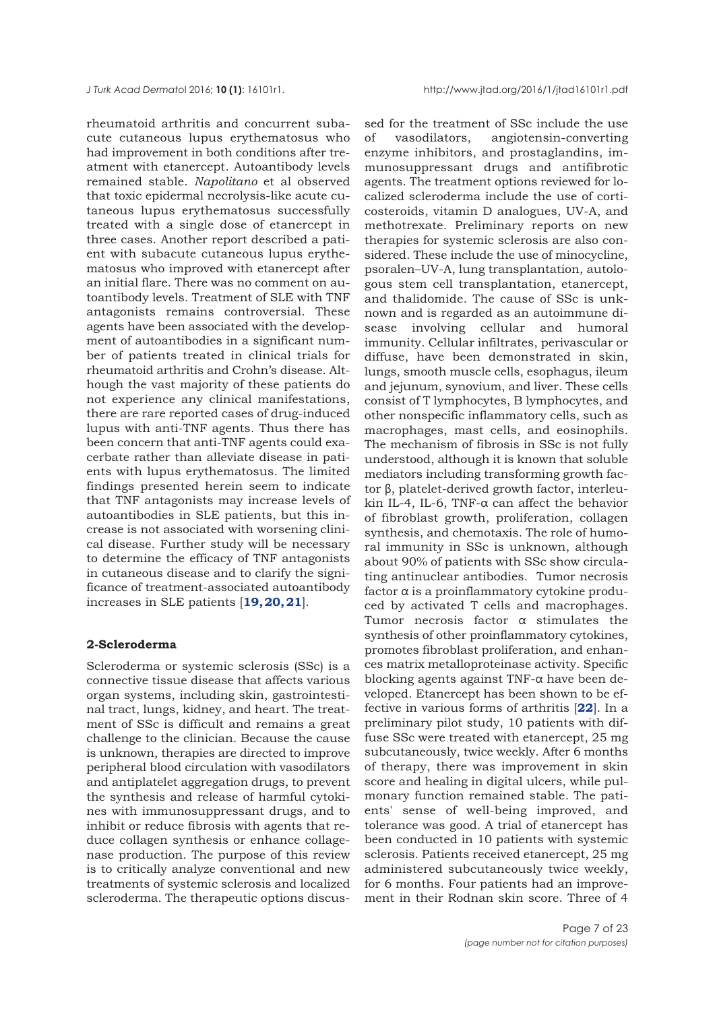rheumatoid arthritis and concurrent subacute cutaneous lupus erythematosus who had improvement in both conditions after treatment with etanercept. Autoantibody levels remained stable. *Napolitano* et al observed that toxic epidermal necrolysis-like acute cutaneous lupus erythematosus successfully treated with a single dose of etanercept in three cases. Another report described a patient with subacute cutaneous lupus erythematosus who improved with etanercept after an initial flare. There was no comment on autoantibody levels. Treatment of SLE with TNF antagonists remains controversial. These agents have been associated with the development of autoantibodies in a significant number of patients treated in clinical trials for rheumatoid arthritis and Crohn's disease. Although the vast majority of these patients do not experience any clinical manifestations, there are rare reported cases of drug-induced lupus with anti-TNF agents. Thus there has been concern that anti-TNF agents could exacerbate rather than alleviate disease in patients with lupus erythematosus. The limited findings presented herein seem to indicate that TNF antagonists may increase levels of autoantibodies in SLE patients, but this increase is not associated with worsening clinical disease. Further study will be necessary to determine the efficacy of TNF antagonists in cutaneous disease and to clarify the significance of treatment-associated autoantibody increases in SLE patients [**[19, 20, 21](#page-20-0)**].

## **2-Scleroderma**

Scleroderma or systemic sclerosis (SSc) is a connective tissue disease that affects various organ systems, including skin, gastrointestinal tract, lungs, kidney, and heart. The treatment of SSc is difficult and remains a great challenge to the clinician. Because the cause is unknown, therapies are directed to improve peripheral blood circulation with vasodilators and antiplatelet aggregation drugs, to prevent the synthesis and release of harmful cytokines with immunosuppressant drugs, and to inhibit or reduce fibrosis with agents that reduce collagen synthesis or enhance collagenase production. The purpose of this review is to critically analyze conventional and new treatments of systemic sclerosis and localized scleroderma. The therapeutic options discus-

sed for the treatment of SSc include the use of vasodilators, angiotensin-converting enzyme inhibitors, and prostaglandins, immunosuppressant drugs and antifibrotic agents. The treatment options reviewed for localized scleroderma include the use of corticosteroids, vitamin D analogues, UV-A, and methotrexate. Preliminary reports on new therapies for systemic sclerosis are also considered. These include the use of minocycline, psoralen–UV-A, lung transplantation, autologous stem cell transplantation, etanercept, and thalidomide. The cause of SSc is unknown and is regarded as an autoimmune disease involving cellular and humoral immunity. Cellular infiltrates, perivascular or diffuse, have been demonstrated in skin, lungs, smooth muscle cells, esophagus, ileum and jejunum, synovium, and liver. These cells consist of T lymphocytes, B lymphocytes, and other nonspecific inflammatory cells, such as macrophages, mast cells, and eosinophils. The mechanism of fibrosis in SSc is not fully understood, although it is known that soluble mediators including transforming growth factor β, platelet-derived growth factor, interleukin IL-4, IL-6, TNF-α can affect the behavior of fibroblast growth, proliferation, collagen synthesis, and chemotaxis. The role of humoral immunity in SSc is unknown, although about 90% of patients with SSc show circulating antinuclear antibodies. Tumor necrosis factor α is a proinflammatory cytokine produced by activated T cells and macrophages. Tumor necrosis factor α stimulates the synthesis of other proinflammatory cytokines, promotes fibroblast proliferation, and enhances matrix metalloproteinase activity. Specific blocking agents against TNF-α have been developed. Etanercept has been shown to be effective in various forms of arthritis [**[22](#page-20-0)**]. In a preliminary pilot study, 10 patients with diffuse SSc were treated with etanercept, 25 mg subcutaneously, twice weekly. After 6 months of therapy, there was improvement in skin score and healing in digital ulcers, while pulmonary function remained stable. The patients' sense of well-being improved, and tolerance was good. A trial of etanercept has been conducted in 10 patients with systemic sclerosis. Patients received etanercept, 25 mg administered subcutaneously twice weekly, for 6 months. Four patients had an improvement in their Rodnan skin score. Three of 4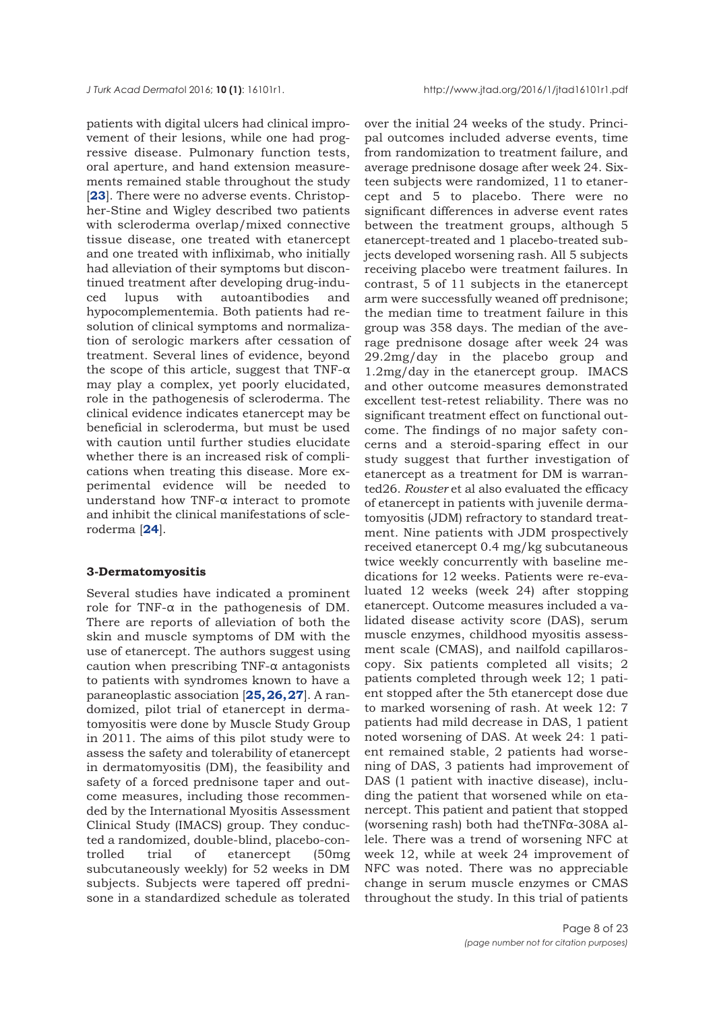patients with digital ulcers had clinical improvement of their lesions, while one had progressive disease. Pulmonary function tests, oral aperture, and hand extension measurements remained stable throughout the study [[23](#page-20-0)]. There were no adverse events. Christopher-Stine and Wigley described two patients with scleroderma overlap/mixed connective tissue disease, one treated with etanercept and one treated with infliximab, who initially had alleviation of their symptoms but discontinued treatment after developing drug-induced lupus with autoantibodies and hypocomplementemia. Both patients had resolution of clinical symptoms and normalization of serologic markers after cessation of treatment. Several lines of evidence, beyond the scope of this article, suggest that TNF- $\alpha$ may play a complex, yet poorly elucidated, role in the pathogenesis of scleroderma. The clinical evidence indicates etanercept may be beneficial in scleroderma, but must be used with caution until further studies elucidate whether there is an increased risk of complications when treating this disease. More experimental evidence will be needed to understand how TNF-α interact to promote and inhibit the clinical manifestations of scleroderma [**[24](#page-20-0)**].

## **3-Dermatomyositis**

Several studies have indicated a prominent role for TNF-α in the pathogenesis of DM. There are reports of alleviation of both the skin and muscle symptoms of DM with the use of etanercept. The authors suggest using caution when prescribing TNF-α antagonists to patients with syndromes known to have a paraneoplastic association [**[25, 26, 27](#page-20-0)**]. A randomized, pilot trial of etanercept in dermatomyositis were done by Muscle Study Group in 2011. The aims of this pilot study were to assess the safety and tolerability of etanercept in dermatomyositis (DM), the feasibility and safety of a forced prednisone taper and outcome measures, including those recommended by the International Myositis Assessment Clinical Study (IMACS) group. They conducted a randomized, double-blind, placebo-controlled trial of etanercept (50mg subcutaneously weekly) for 52 weeks in DM subjects. Subjects were tapered off prednisone in a standardized schedule as tolerated

over the initial 24 weeks of the study. Principal outcomes included adverse events, time from randomization to treatment failure, and average prednisone dosage after week 24. Sixteen subjects were randomized, 11 to etanercept and 5 to placebo. There were no significant differences in adverse event rates between the treatment groups, although 5 etanercept-treated and 1 placebo-treated subjects developed worsening rash. All 5 subjects receiving placebo were treatment failures. In contrast, 5 of 11 subjects in the etanercept arm were successfully weaned off prednisone; the median time to treatment failure in this group was 358 days. The median of the average prednisone dosage after week 24 was 29.2mg/day in the placebo group and 1.2mg/day in the etanercept group. IMACS and other outcome measures demonstrated excellent test-retest reliability. There was no significant treatment effect on functional outcome. The findings of no major safety concerns and a steroid-sparing effect in our study suggest that further investigation of etanercept as a treatment for DM is warranted26. *Rouster* et al also evaluated the efficacy of etanercept in patients with juvenile dermatomyositis (JDM) refractory to standard treatment. Nine patients with JDM prospectively received etanercept 0.4 mg/kg subcutaneous twice weekly concurrently with baseline medications for 12 weeks. Patients were re-evaluated 12 weeks (week 24) after stopping etanercept. Outcome measures included a validated disease activity score (DAS), serum muscle enzymes, childhood myositis assessment scale (CMAS), and nailfold capillaroscopy. Six patients completed all visits; 2 patients completed through week 12; 1 patient stopped after the 5th etanercept dose due to marked worsening of rash. At week 12: 7 patients had mild decrease in DAS, 1 patient noted worsening of DAS. At week 24: 1 patient remained stable, 2 patients had worsening of DAS, 3 patients had improvement of DAS (1 patient with inactive disease), including the patient that worsened while on etanercept. This patient and patient that stopped (worsening rash) both had theTNFα-308A allele. There was a trend of worsening NFC at week 12, while at week 24 improvement of NFC was noted. There was no appreciable change in serum muscle enzymes or CMAS throughout the study. In this trial of patients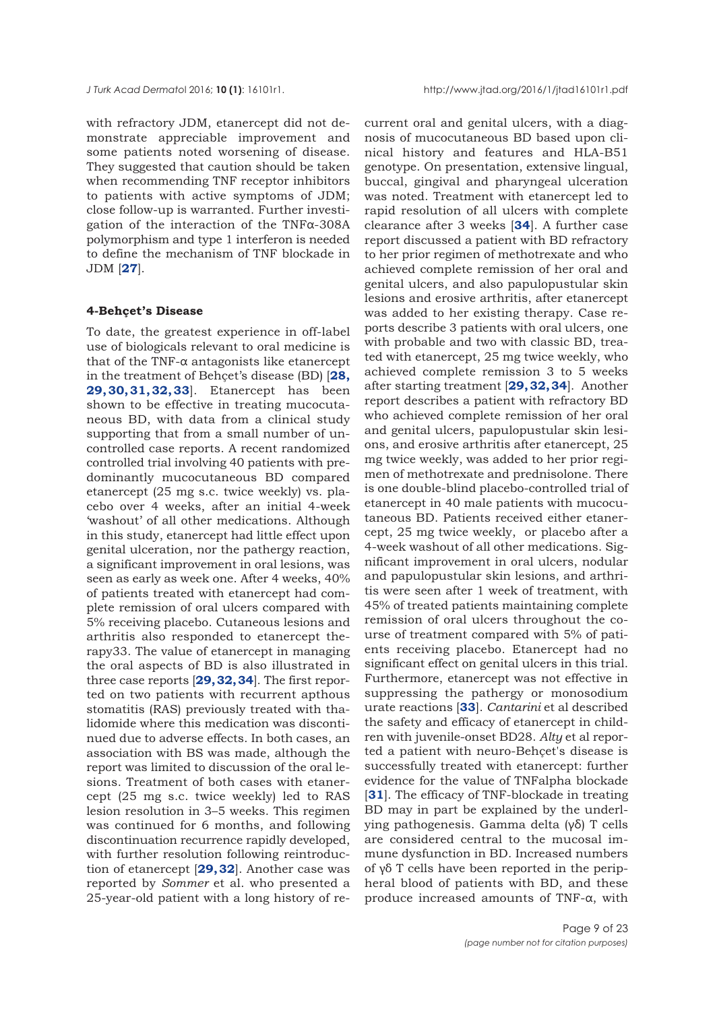with refractory JDM, etanercept did not demonstrate appreciable improvement and some patients noted worsening of disease. They suggested that caution should be taken when recommending TNF receptor inhibitors to patients with active symptoms of JDM; close follow-up is warranted. Further investigation of the interaction of the TNFα-308A polymorphism and type 1 interferon is needed to define the mechanism of TNF blockade in JDM [**[27](#page-20-0)**].

## **4-Behçet's Disease**

To date, the greatest experience in off-label use of biologicals relevant to oral medicine is that of the TNF-α antagonists like etanercept in the treatment of Behçet's disease (BD) [**[28,](#page-20-0) [29, 30, 31, 32, 33](#page-20-0)**]. Etanercept has been shown to be effective in treating mucocutaneous BD, with data from a clinical study supporting that from a small number of uncontrolled case reports. A recent randomized controlled trial involving 40 patients with predominantly mucocutaneous BD compared etanercept (25 mg s.c. twice weekly) vs. placebo over 4 weeks, after an initial 4-week 'washout' of all other medications. Although in this study, etanercept had little effect upon genital ulceration, nor the pathergy reaction, a significant improvement in oral lesions, was seen as early as week one. After 4 weeks, 40% of patients treated with etanercept had complete remission of oral ulcers compared with 5% receiving placebo. Cutaneous lesions and arthritis also responded to etanercept therapy33. The value of etanercept in managing the oral aspects of BD is also illustrated in three case reports [**[29, 32, 34](#page-20-0)**]. The first reported on two patients with recurrent apthous stomatitis (RAS) previously treated with thalidomide where this medication was discontinued due to adverse effects. In both cases, an association with BS was made, although the report was limited to discussion of the oral lesions. Treatment of both cases with etanercept (25 mg s.c. twice weekly) led to RAS lesion resolution in 3–5 weeks. This regimen was continued for 6 months, and following discontinuation recurrence rapidly developed, with further resolution following reintroduction of etanercept [**[29, 32](#page-20-0)**]. Another case was reported by *Sommer* et al. who presented a 25-year-old patient with a long history of re-

current oral and genital ulcers, with a diagnosis of mucocutaneous BD based upon clinical history and features and HLA-B51 genotype. On presentation, extensive lingual, buccal, gingival and pharyngeal ulceration was noted. Treatment with etanercept led to rapid resolution of all ulcers with complete clearance after 3 weeks [**[34](#page-20-0)**]. A further case report discussed a patient with BD refractory to her prior regimen of methotrexate and who achieved complete remission of her oral and genital ulcers, and also papulopustular skin lesions and erosive arthritis, after etanercept was added to her existing therapy. Case reports describe 3 patients with oral ulcers, one with probable and two with classic BD, treated with etanercept, 25 mg twice weekly, who achieved complete remission 3 to 5 weeks after starting treatment [**[29, 32, 34](#page-20-0)**]. Another report describes a patient with refractory BD who achieved complete remission of her oral and genital ulcers, papulopustular skin lesions, and erosive arthritis after etanercept, 25 mg twice weekly, was added to her prior regimen of methotrexate and prednisolone. There is one double-blind placebo-controlled trial of etanercept in 40 male patients with mucocutaneous BD. Patients received either etanercept, 25 mg twice weekly, or placebo after a 4-week washout of all other medications. Significant improvement in oral ulcers, nodular and papulopustular skin lesions, and arthritis were seen after 1 week of treatment, with 45% of treated patients maintaining complete remission of oral ulcers throughout the course of treatment compared with 5% of patients receiving placebo. Etanercept had no significant effect on genital ulcers in this trial. Furthermore, etanercept was not effective in suppressing the pathergy or monosodium urate reactions [**[33](#page-20-0)**]. *Cantarini* et al described the safety and efficacy of etanercept in children with juvenile-onset BD28. *Alty* et al reported a patient with neuro-Behçet's disease is successfully treated with etanercept: further evidence for the value of TNFalpha blockade [**[31](#page-20-0)**]. The efficacy of TNF-blockade in treating BD may in part be explained by the underlying pathogenesis. Gamma delta (γδ) T cells are considered central to the mucosal immune dysfunction in BD. Increased numbers of γδ T cells have been reported in the peripheral blood of patients with BD, and these produce increased amounts of TNF-α, with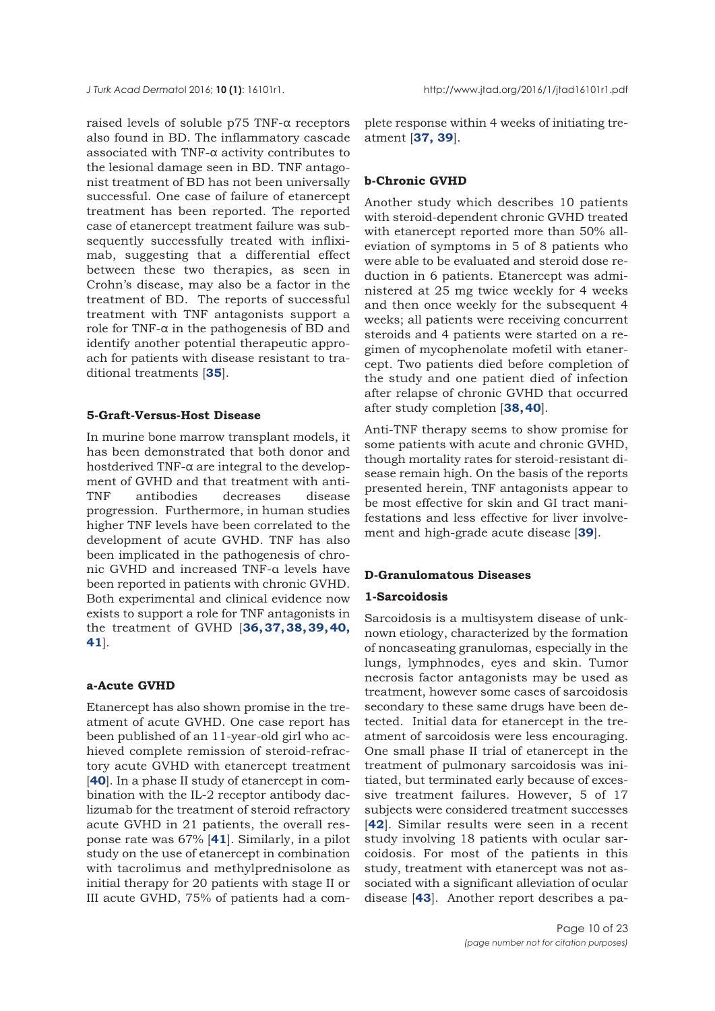raised levels of soluble p75 TNF-α receptors also found in BD. The inflammatory cascade associated with TNF-α activity contributes to the lesional damage seen in BD. TNF antagonist treatment of BD has not been universally successful. One case of failure of etanercept treatment has been reported. The reported case of etanercept treatment failure was subsequently successfully treated with infliximab, suggesting that a differential effect between these two therapies, as seen in Crohn's disease, may also be a factor in the treatment of BD. The reports of successful treatment with TNF antagonists support a role for TNF- $α$  in the pathogenesis of BD and identify another potential therapeutic approach for patients with disease resistant to traditional treatments [**[35](#page-20-0)**].

# **5-Graft-Versus-Host Disease**

In murine bone marrow transplant models, it has been demonstrated that both donor and hostderived TNF-α are integral to the development of GVHD and that treatment with anti-TNF antibodies decreases disease progression. Furthermore, in human studies higher TNF levels have been correlated to the development of acute GVHD. TNF has also been implicated in the pathogenesis of chronic GVHD and increased TNF-α levels have been reported in patients with chronic GVHD. Both experimental and clinical evidence now exists to support a role for TNF antagonists in the treatment of GVHD [**[36,](#page-21-0) [37,](#page-20-0) [38, 39, 40](#page-21-0), [41](#page-21-0)**].

# **a-Acute GVHD**

Etanercept has also shown promise in the treatment of acute GVHD. One case report has been published of an 11-year-old girl who achieved complete remission of steroid-refractory acute GVHD with etanercept treatment [[40](#page-21-0)]. In a phase II study of etanercept in combination with the IL-2 receptor antibody daclizumab for the treatment of steroid refractory acute GVHD in 21 patients, the overall response rate was 67% [**[41](#page-21-0)**]. Similarly, in a pilot study on the use of etanercept in combination with tacrolimus and methylprednisolone as initial therapy for 20 patients with stage II or III acute GVHD, 75% of patients had a complete response within 4 weeks of initiating treatment [**[37,](#page-20-0) [39](#page-21-0)**].

## **b-Chronic GVHD**

Another study which describes 10 patients with steroid-dependent chronic GVHD treated with etanercept reported more than 50% alleviation of symptoms in 5 of 8 patients who were able to be evaluated and steroid dose reduction in 6 patients. Etanercept was administered at 25 mg twice weekly for 4 weeks and then once weekly for the subsequent 4 weeks; all patients were receiving concurrent steroids and 4 patients were started on a regimen of mycophenolate mofetil with etanercept. Two patients died before completion of the study and one patient died of infection after relapse of chronic GVHD that occurred after study completion [**[38,](#page-20-0) [40](#page-21-0)**].

Anti-TNF therapy seems to show promise for some patients with acute and chronic GVHD, though mortality rates for steroid-resistant disease remain high. On the basis of the reports presented herein, TNF antagonists appear to be most effective for skin and GI tract manifestations and less effective for liver involvement and high-grade acute disease [**[39](#page-21-0)**].

## **D-Granulomatous Diseases**

# **1-Sarcoidosis**

Sarcoidosis is a multisystem disease of unknown etiology, characterized by the formation of noncaseating granulomas, especially in the lungs, lymphnodes, eyes and skin. Tumor necrosis factor antagonists may be used as treatment, however some cases of sarcoidosis secondary to these same drugs have been detected. Initial data for etanercept in the treatment of sarcoidosis were less encouraging. One small phase II trial of etanercept in the treatment of pulmonary sarcoidosis was initiated, but terminated early because of excessive treatment failures. However, 5 of 17 subjects were considered treatment successes [**[42](#page-21-0)**]. Similar results were seen in a recent study involving 18 patients with ocular sarcoidosis. For most of the patients in this study, treatment with etanercept was not associated with a significant alleviation of ocular disease [**[43](#page-21-0)**]. Another report describes a pa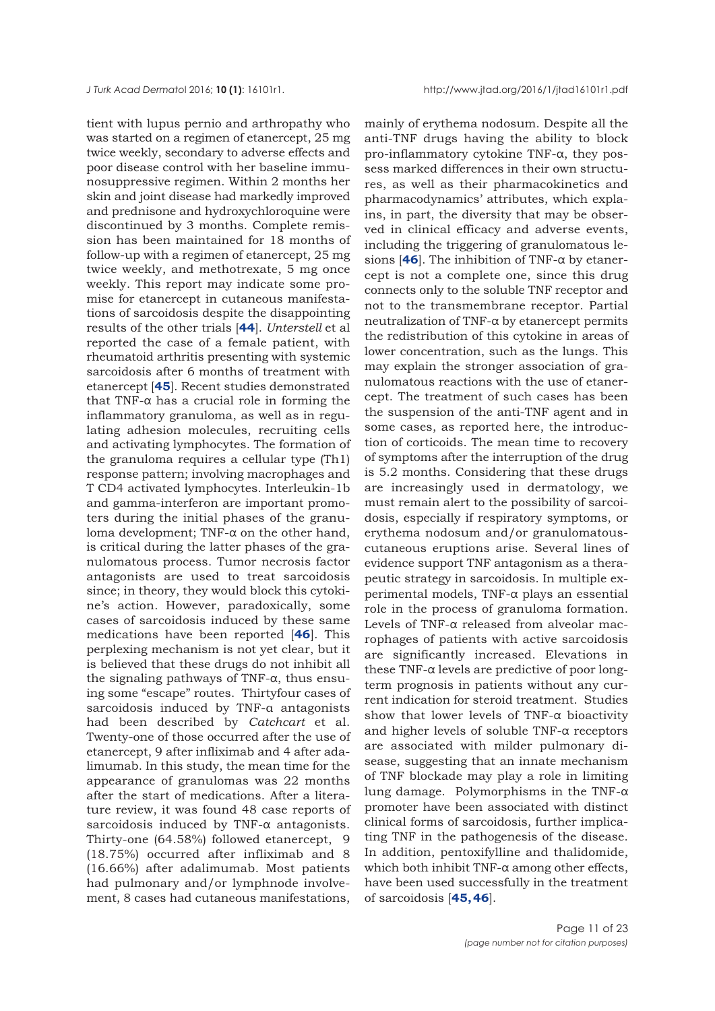tient with lupus pernio and arthropathy who was started on a regimen of etanercept, 25 mg twice weekly, secondary to adverse effects and poor disease control with her baseline immunosuppressive regimen. Within 2 months her skin and joint disease had markedly improved and prednisone and hydroxychloroquine were discontinued by 3 months. Complete remission has been maintained for 18 months of follow-up with a regimen of etanercept, 25 mg twice weekly, and methotrexate, 5 mg once weekly. This report may indicate some promise for etanercept in cutaneous manifestations of sarcoidosis despite the disappointing results of the other trials [**[44](#page-21-0)**]. *Unterstell* et al reported the case of a female patient, with rheumatoid arthritis presenting with systemic sarcoidosis after 6 months of treatment with etanercept [**[45](#page-21-0)**]. Recent studies demonstrated that TNF-α has a crucial role in forming the inflammatory granuloma, as well as in regulating adhesion molecules, recruiting cells and activating lymphocytes. The formation of the granuloma requires a cellular type (Th1) response pattern; involving macrophages and T CD4 activated lymphocytes. Interleukin-1b and gamma-interferon are important promoters during the initial phases of the granuloma development; TNF-α on the other hand, is critical during the latter phases of the granulomatous process. Tumor necrosis factor antagonists are used to treat sarcoidosis since; in theory, they would block this cytokine's action. However, paradoxically, some cases of sarcoidosis induced by these same medications have been reported [**[46](#page-21-0)**]. This perplexing mechanism is not yet clear, but it is believed that these drugs do not inhibit all the signaling pathways of TNF-α, thus ensuing some "escape" routes. Thirtyfour cases of sarcoidosis induced by TNF-α antagonists had been described by *Catchcart* et al. Twenty-one of those occurred after the use of etanercept, 9 after infliximab and 4 after adalimumab. In this study, the mean time for the appearance of granulomas was 22 months after the start of medications. After a literature review, it was found 48 case reports of sarcoidosis induced by TNF-α antagonists. Thirty-one (64.58%) followed etanercept, 9 (18.75%) occurred after infliximab and 8 (16.66%) after adalimumab. Most patients had pulmonary and/or lymphnode involvement, 8 cases had cutaneous manifestations,

mainly of erythema nodosum. Despite all the anti-TNF drugs having the ability to block pro-inflammatory cytokine TNF-α, they possess marked differences in their own structures, as well as their pharmacokinetics and pharmacodynamics' attributes, which explains, in part, the diversity that may be observed in clinical efficacy and adverse events, including the triggering of granulomatous lesions [**[46](#page-21-0)**]. The inhibition of TNF-α by etanercept is not a complete one, since this drug connects only to the soluble TNF receptor and not to the transmembrane receptor. Partial neutralization of TNF-α by etanercept permits the redistribution of this cytokine in areas of lower concentration, such as the lungs. This may explain the stronger association of granulomatous reactions with the use of etanercept. The treatment of such cases has been the suspension of the anti-TNF agent and in some cases, as reported here, the introduction of corticoids. The mean time to recovery of symptoms after the interruption of the drug is 5.2 months. Considering that these drugs are increasingly used in dermatology, we must remain alert to the possibility of sarcoidosis, especially if respiratory symptoms, or erythema nodosum and/or granulomatouscutaneous eruptions arise. Several lines of evidence support TNF antagonism as a therapeutic strategy in sarcoidosis. In multiple experimental models, TNF-α plays an essential role in the process of granuloma formation. Levels of TNF-α released from alveolar macrophages of patients with active sarcoidosis are significantly increased. Elevations in these TNF-α levels are predictive of poor longterm prognosis in patients without any current indication for steroid treatment. Studies show that lower levels of TNF-α bioactivity and higher levels of soluble TNF-α receptors are associated with milder pulmonary disease, suggesting that an innate mechanism of TNF blockade may play a role in limiting lung damage. Polymorphisms in the TNF-α promoter have been associated with distinct clinical forms of sarcoidosis, further implicating TNF in the pathogenesis of the disease. In addition, pentoxifylline and thalidomide, which both inhibit TNF-α among other effects, have been used successfully in the treatment of sarcoidosis [**[45, 46](#page-21-0)**].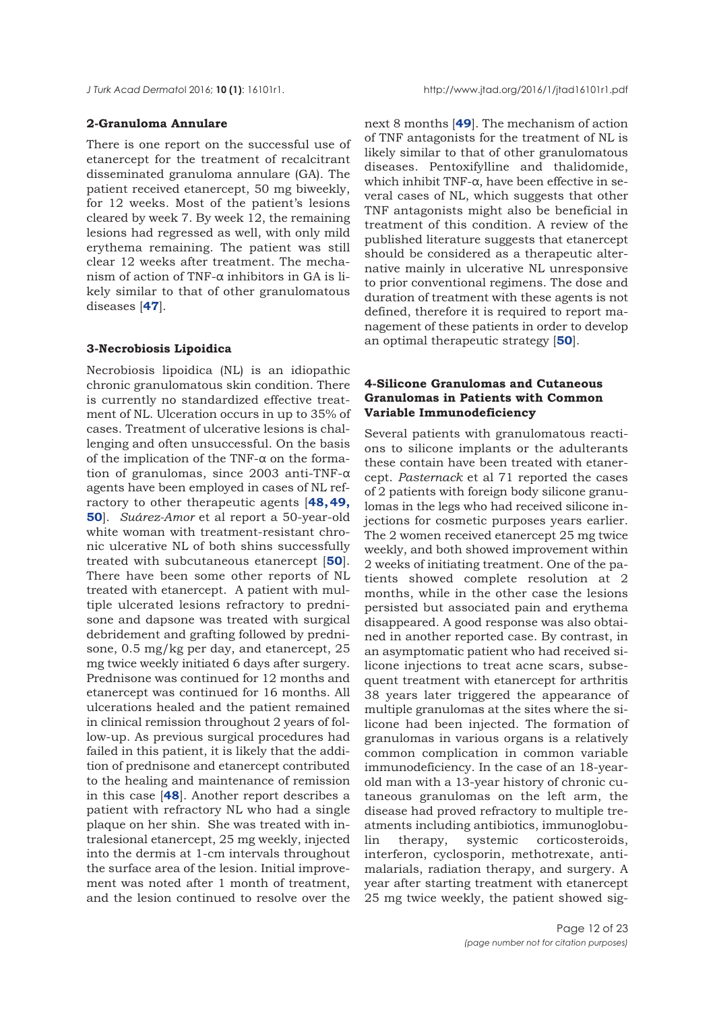## **2-Granuloma Annulare**

There is one report on the successful use of etanercept for the treatment of recalcitrant disseminated granuloma annulare (GA). The patient received etanercept, 50 mg biweekly, for 12 weeks. Most of the patient's lesions cleared by week 7. By week 12, the remaining lesions had regressed as well, with only mild erythema remaining. The patient was still clear 12 weeks after treatment. The mechanism of action of TNF-α inhibitors in GA is likely similar to that of other granulomatous diseases [**[47](#page-21-0)**].

## **3-Necrobiosis Lipoidica**

Necrobiosis lipoidica (NL) is an idiopathic chronic granulomatous skin condition. There is currently no standardized effective treatment of NL. Ulceration occurs in up to 35% of cases. Treatment of ulcerative lesions is challenging and often unsuccessful. On the basis of the implication of the TNF- $\alpha$  on the formation of granulomas, since 2003 anti-TNF-α agents have been employed in cases of NL refractory to other therapeutic agents [**[48, 49,](#page-21-0) [50](#page-21-0)**]. *Suárez-Amor* et al report a 50-year-old white woman with treatment-resistant chronic ulcerative NL of both shins successfully treated with subcutaneous etanercept [**[50](#page-21-0)**]. There have been some other reports of NL treated with etanercept. A patient with multiple ulcerated lesions refractory to prednisone and dapsone was treated with surgical debridement and grafting followed by prednisone, 0.5 mg/kg per day, and etanercept, 25 mg twice weekly initiated 6 days after surgery. Prednisone was continued for 12 months and etanercept was continued for 16 months. All ulcerations healed and the patient remained in clinical remission throughout 2 years of follow-up. As previous surgical procedures had failed in this patient, it is likely that the addition of prednisone and etanercept contributed to the healing and maintenance of remission in this case [**[48](#page-21-0)**]. Another report describes a patient with refractory NL who had a single plaque on her shin. She was treated with intralesional etanercept, 25 mg weekly, injected into the dermis at 1-cm intervals throughout the surface area of the lesion. Initial improvement was noted after 1 month of treatment, and the lesion continued to resolve over the

next 8 months [**[49](#page-21-0)**]. The mechanism of action of TNF antagonists for the treatment of NL is likely similar to that of other granulomatous diseases. Pentoxifylline and thalidomide, which inhibit TNF-α, have been effective in several cases of NL, which suggests that other TNF antagonists might also be beneficial in treatment of this condition. A review of the published literature suggests that etanercept should be considered as a therapeutic alternative mainly in ulcerative NL unresponsive to prior conventional regimens. The dose and duration of treatment with these agents is not defined, therefore it is required to report management of these patients in order to develop an optimal therapeutic strategy [**[50](#page-21-0)**].

# **4-Silicone Granulomas and Cutaneous Granulomas in Patients with Common Variable Immunodeficiency**

Several patients with granulomatous reactions to silicone implants or the adulterants these contain have been treated with etanercept. *Pasternack* et al 71 reported the cases of 2 patients with foreign body silicone granulomas in the legs who had received silicone injections for cosmetic purposes years earlier. The 2 women received etanercept 25 mg twice weekly, and both showed improvement within 2 weeks of initiating treatment. One of the patients showed complete resolution at 2 months, while in the other case the lesions persisted but associated pain and erythema disappeared. A good response was also obtained in another reported case. By contrast, in an asymptomatic patient who had received silicone injections to treat acne scars, subsequent treatment with etanercept for arthritis 38 years later triggered the appearance of multiple granulomas at the sites where the silicone had been injected. The formation of granulomas in various organs is a relatively common complication in common variable immunodeficiency. In the case of an 18-yearold man with a 13-year history of chronic cutaneous granulomas on the left arm, the disease had proved refractory to multiple treatments including antibiotics, immunoglobulin therapy, systemic corticosteroids, interferon, cyclosporin, methotrexate, antimalarials, radiation therapy, and surgery. A year after starting treatment with etanercept 25 mg twice weekly, the patient showed sig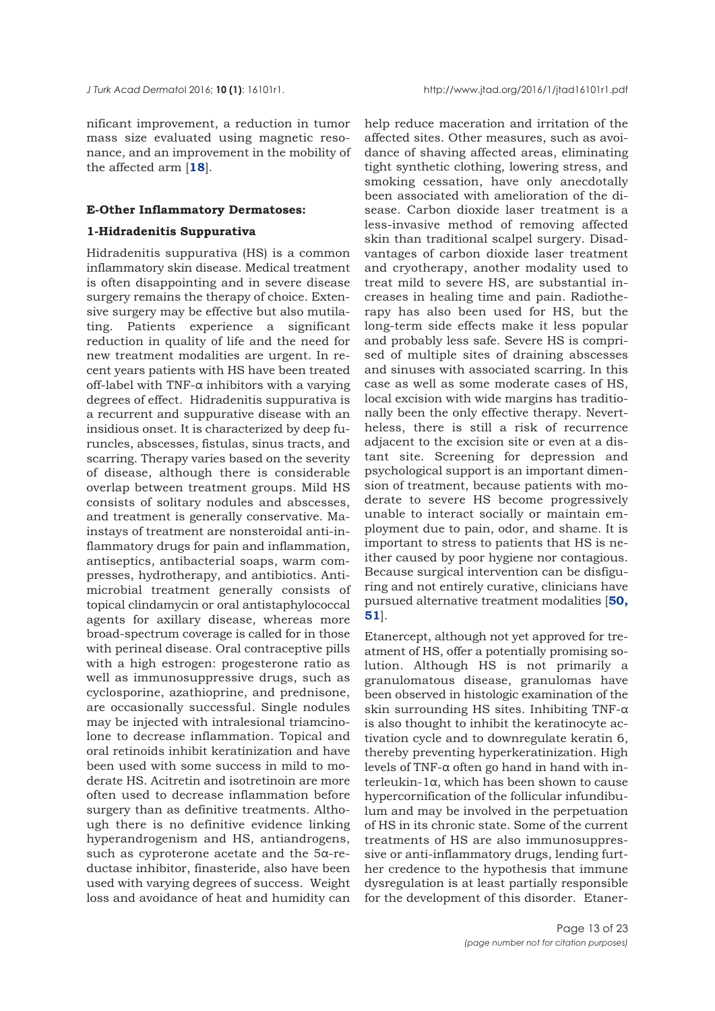nificant improvement, a reduction in tumor mass size evaluated using magnetic resonance, and an improvement in the mobility of the affected arm [**[18](#page-20-0)**].

#### **E-Other Inflammatory Dermatoses:**

## **1-Hidradenitis Suppurativa**

Hidradenitis suppurativa (HS) is a common inflammatory skin disease. Medical treatment is often disappointing and in severe disease surgery remains the therapy of choice. Extensive surgery may be effective but also mutilating. Patients experience a significant reduction in quality of life and the need for new treatment modalities are urgent. In recent years patients with HS have been treated off-label with TNF-α inhibitors with a varying degrees of effect. Hidradenitis suppurativa is a recurrent and suppurative disease with an insidious onset. It is characterized by deep furuncles, abscesses, fistulas, sinus tracts, and scarring. Therapy varies based on the severity of disease, although there is considerable overlap between treatment groups. Mild HS consists of solitary nodules and abscesses, and treatment is generally conservative. Mainstays of treatment are nonsteroidal anti-inflammatory drugs for pain and inflammation, antiseptics, antibacterial soaps, warm compresses, hydrotherapy, and antibiotics. Antimicrobial treatment generally consists of topical clindamycin or oral antistaphylococcal agents for axillary disease, whereas more broad-spectrum coverage is called for in those with perineal disease. Oral contraceptive pills with a high estrogen: progesterone ratio as well as immunosuppressive drugs, such as cyclosporine, azathioprine, and prednisone, are occasionally successful. Single nodules may be injected with intralesional triamcinolone to decrease inflammation. Topical and oral retinoids inhibit keratinization and have been used with some success in mild to moderate HS. Acitretin and isotretinoin are more often used to decrease inflammation before surgery than as definitive treatments. Although there is no definitive evidence linking hyperandrogenism and HS, antiandrogens, such as cyproterone acetate and the 5α-reductase inhibitor, finasteride, also have been used with varying degrees of success. Weight loss and avoidance of heat and humidity can

help reduce maceration and irritation of the affected sites. Other measures, such as avoidance of shaving affected areas, eliminating tight synthetic clothing, lowering stress, and smoking cessation, have only anecdotally been associated with amelioration of the disease. Carbon dioxide laser treatment is a less-invasive method of removing affected skin than traditional scalpel surgery. Disadvantages of carbon dioxide laser treatment and cryotherapy, another modality used to treat mild to severe HS, are substantial increases in healing time and pain. Radiotherapy has also been used for HS, but the long-term side effects make it less popular and probably less safe. Severe HS is comprised of multiple sites of draining abscesses and sinuses with associated scarring. In this case as well as some moderate cases of HS, local excision with wide margins has traditionally been the only effective therapy. Nevertheless, there is still a risk of recurrence adjacent to the excision site or even at a distant site. Screening for depression and psychological support is an important dimension of treatment, because patients with moderate to severe HS become progressively unable to interact socially or maintain employment due to pain, odor, and shame. It is important to stress to patients that HS is neither caused by poor hygiene nor contagious. Because surgical intervention can be disfiguring and not entirely curative, clinicians have pursued alternative treatment modalities [**[50,](#page-22-0) [51](#page-21-0)**].

Etanercept, although not yet approved for treatment of HS, offer a potentially promising solution. Although HS is not primarily a granulomatous disease, granulomas have been observed in histologic examination of the skin surrounding HS sites. Inhibiting TNF-α is also thought to inhibit the keratinocyte activation cycle and to downregulate keratin 6, thereby preventing hyperkeratinization. High levels of TNF-α often go hand in hand with interleukin-1α, which has been shown to cause hypercornification of the follicular infundibulum and may be involved in the perpetuation of HS in its chronic state. Some of the current treatments of HS are also immunosuppressive or anti-inflammatory drugs, lending further credence to the hypothesis that immune dysregulation is at least partially responsible for the development of this disorder. Etaner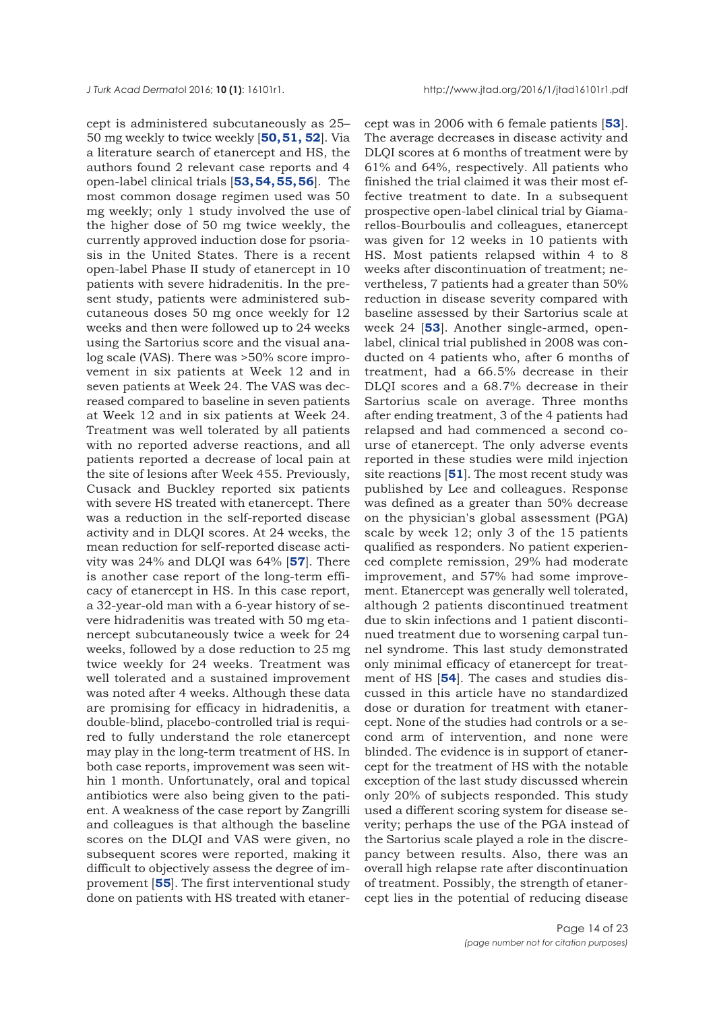cept is administered subcutaneously as 25– 50 mg weekly to twice weekly [**[50, 51,](#page-22-0) [52](#page-21-0)**]. Via a literature search of etanercept and HS, the authors found 2 relevant case reports and 4 open-label clinical trials [**[53, 54, 55, 56](#page-21-0)**]. The most common dosage regimen used was 50 mg weekly; only 1 study involved the use of the higher dose of 50 mg twice weekly, the currently approved induction dose for psoriasis in the United States. There is a recent open-label Phase II study of etanercept in 10 patients with severe hidradenitis. In the present study, patients were administered subcutaneous doses 50 mg once weekly for 12 weeks and then were followed up to 24 weeks using the Sartorius score and the visual analog scale (VAS). There was >50% score improvement in six patients at Week 12 and in seven patients at Week 24. The VAS was decreased compared to baseline in seven patients at Week 12 and in six patients at Week 24. Treatment was well tolerated by all patients with no reported adverse reactions, and all patients reported a decrease of local pain at the site of lesions after Week 455. Previously, Cusack and Buckley reported six patients with severe HS treated with etanercept. There was a reduction in the self-reported disease activity and in DLQI scores. At 24 weeks, the mean reduction for self-reported disease activity was 24% and DLQI was 64% [**[57](#page-21-0)**]. There is another case report of the long-term efficacy of etanercept in HS. In this case report, a 32-year-old man with a 6-year history of severe hidradenitis was treated with 50 mg etanercept subcutaneously twice a week for 24 weeks, followed by a dose reduction to 25 mg twice weekly for 24 weeks. Treatment was well tolerated and a sustained improvement was noted after 4 weeks. Although these data are promising for efficacy in hidradenitis, a double-blind, placebo-controlled trial is required to fully understand the role etanercept may play in the long-term treatment of HS. In both case reports, improvement was seen within 1 month. Unfortunately, oral and topical antibiotics were also being given to the patient. A weakness of the case report by Zangrilli and colleagues is that although the baseline scores on the DLQI and VAS were given, no subsequent scores were reported, making it difficult to objectively assess the degree of improvement [**[55](#page-21-0)**]. The first interventional study done on patients with HS treated with etanercept was in 2006 with 6 female patients [**[53](#page-21-0)**]. The average decreases in disease activity and DLQI scores at 6 months of treatment were by 61% and 64%, respectively. All patients who finished the trial claimed it was their most effective treatment to date. In a subsequent prospective open-label clinical trial by Giamarellos-Bourboulis and colleagues, etanercept was given for 12 weeks in 10 patients with HS. Most patients relapsed within 4 to 8 weeks after discontinuation of treatment; nevertheless, 7 patients had a greater than 50% reduction in disease severity compared with baseline assessed by their Sartorius scale at week 24 [**[53](#page-21-0)**]. Another single-armed, openlabel, clinical trial published in 2008 was conducted on 4 patients who, after 6 months of treatment, had a 66.5% decrease in their DLQI scores and a 68.7% decrease in their Sartorius scale on average. Three months after ending treatment, 3 of the 4 patients had relapsed and had commenced a second course of etanercept. The only adverse events reported in these studies were mild injection site reactions [**[51](#page-22-0)**]. The most recent study was published by Lee and colleagues. Response was defined as a greater than 50% decrease on the physician's global assessment (PGA) scale by week 12; only 3 of the 15 patients qualified as responders. No patient experienced complete remission, 29% had moderate improvement, and 57% had some improvement. Etanercept was generally well tolerated, although 2 patients discontinued treatment due to skin infections and 1 patient discontinued treatment due to worsening carpal tunnel syndrome. This last study demonstrated only minimal efficacy of etanercept for treatment of HS [**[54](#page-21-0)**]. The cases and studies discussed in this article have no standardized dose or duration for treatment with etanercept. None of the studies had controls or a second arm of intervention, and none were blinded. The evidence is in support of etanercept for the treatment of HS with the notable exception of the last study discussed wherein only 20% of subjects responded. This study used a different scoring system for disease severity; perhaps the use of the PGA instead of the Sartorius scale played a role in the discrepancy between results. Also, there was an overall high relapse rate after discontinuation of treatment. Possibly, the strength of etanercept lies in the potential of reducing disease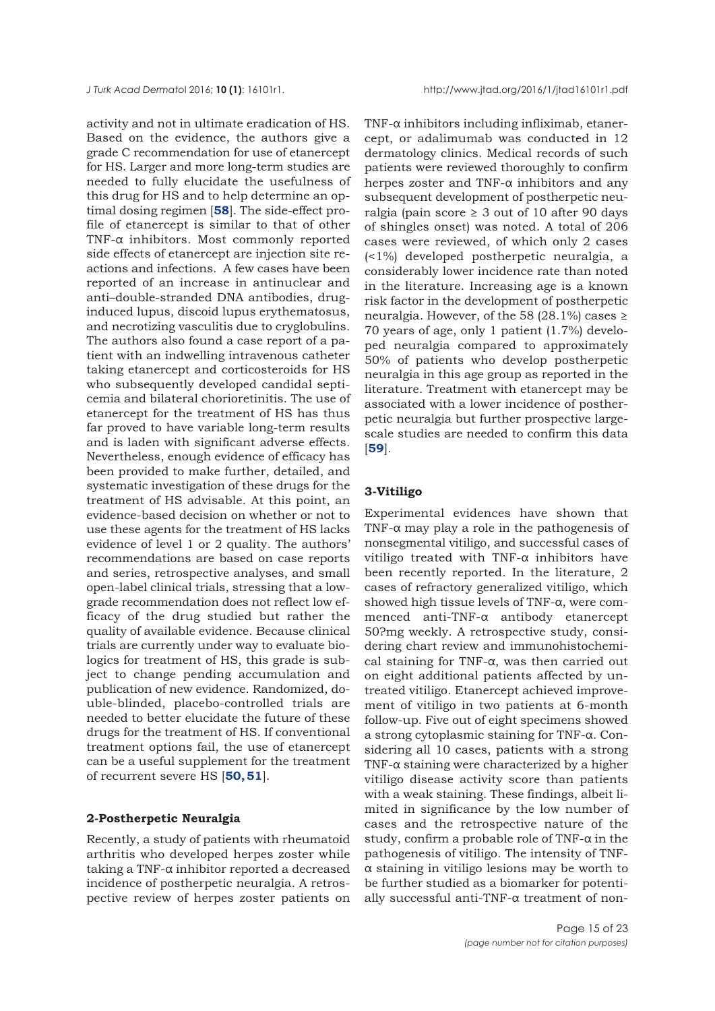activity and not in ultimate eradication of HS. Based on the evidence, the authors give a grade C recommendation for use of etanercept for HS. Larger and more long-term studies are needed to fully elucidate the usefulness of this drug for HS and to help determine an optimal dosing regimen [**[58](#page-21-0)**]. The side-effect profile of etanercept is similar to that of other TNF-α inhibitors. Most commonly reported side effects of etanercept are injection site reactions and infections. A few cases have been reported of an increase in antinuclear and anti–double-stranded DNA antibodies, druginduced lupus, discoid lupus erythematosus, and necrotizing vasculitis due to cryglobulins. The authors also found a case report of a patient with an indwelling intravenous catheter taking etanercept and corticosteroids for HS who subsequently developed candidal septicemia and bilateral chorioretinitis. The use of etanercept for the treatment of HS has thus far proved to have variable long-term results and is laden with significant adverse effects. Nevertheless, enough evidence of efficacy has been provided to make further, detailed, and systematic investigation of these drugs for the treatment of HS advisable. At this point, an evidence-based decision on whether or not to use these agents for the treatment of HS lacks evidence of level 1 or 2 quality. The authors' recommendations are based on case reports and series, retrospective analyses, and small open-label clinical trials, stressing that a lowgrade recommendation does not reflect low efficacy of the drug studied but rather the quality of available evidence. Because clinical trials are currently under way to evaluate biologics for treatment of HS, this grade is subject to change pending accumulation and publication of new evidence. Randomized, double-blinded, placebo-controlled trials are needed to better elucidate the future of these drugs for the treatment of HS. If conventional treatment options fail, the use of etanercept can be a useful supplement for the treatment of recurrent severe HS [**[50, 51](#page-21-0)**].

### **2-Postherpetic Neuralgia**

Recently, a study of patients with rheumatoid arthritis who developed herpes zoster while taking a TNF-α inhibitor reported a decreased incidence of postherpetic neuralgia. A retrospective review of herpes zoster patients on TNF-α inhibitors including infliximab, etanercept, or adalimumab was conducted in 12 dermatology clinics. Medical records of such patients were reviewed thoroughly to confirm herpes zoster and TNF-α inhibitors and any subsequent development of postherpetic neuralgia (pain score  $\geq$  3 out of 10 after 90 days of shingles onset) was noted. A total of 206 cases were reviewed, of which only 2 cases (<1%) developed postherpetic neuralgia, a considerably lower incidence rate than noted in the literature. Increasing age is a known risk factor in the development of postherpetic neuralgia. However, of the 58 (28.1%) cases  $\ge$ 70 years of age, only 1 patient (1.7%) developed neuralgia compared to approximately 50% of patients who develop postherpetic neuralgia in this age group as reported in the literature. Treatment with etanercept may be associated with a lower incidence of postherpetic neuralgia but further prospective largescale studies are needed to confirm this data [**[59](#page-21-0)**].

# **3-Vitiligo**

Experimental evidences have shown that TNF- $\alpha$  may play a role in the pathogenesis of nonsegmental vitiligo, and successful cases of vitiligo treated with TNF-α inhibitors have been recently reported. In the literature, 2 cases of refractory generalized vitiligo, which showed high tissue levels of TNF-α, were commenced anti-TNF-α antibody etanercept 50?mg weekly. A retrospective study, considering chart review and immunohistochemical staining for TNF-α, was then carried out on eight additional patients affected by untreated vitiligo. Etanercept achieved improvement of vitiligo in two patients at 6-month follow-up. Five out of eight specimens showed a strong cytoplasmic staining for TNF-α. Considering all 10 cases, patients with a strong TNF- $\alpha$  staining were characterized by a higher vitiligo disease activity score than patients with a weak staining. These findings, albeit limited in significance by the low number of cases and the retrospective nature of the study, confirm a probable role of TNF- $\alpha$  in the pathogenesis of vitiligo. The intensity of TNFα staining in vitiligo lesions may be worth to be further studied as a biomarker for potentially successful anti-TNF-α treatment of non-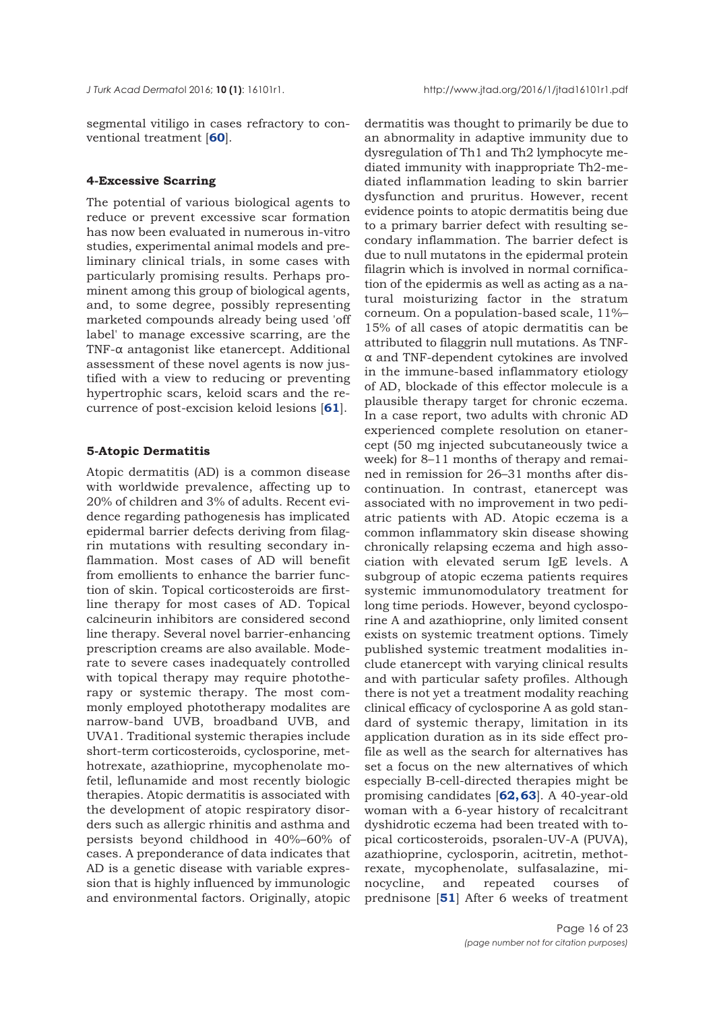segmental vitiligo in cases refractory to conventional treatment [**[60](#page-21-0)**].

## **4-Excessive Scarring**

The potential of various biological agents to reduce or prevent excessive scar formation has now been evaluated in numerous in-vitro studies, experimental animal models and preliminary clinical trials, in some cases with particularly promising results. Perhaps prominent among this group of biological agents, and, to some degree, possibly representing marketed compounds already being used 'off label' to manage excessive scarring, are the TNF-α antagonist like etanercept. Additional assessment of these novel agents is now justified with a view to reducing or preventing hypertrophic scars, keloid scars and the recurrence of post-excision keloid lesions [**[61](#page-21-0)**].

## **5-Atopic Dermatitis**

Atopic dermatitis (AD) is a common disease with worldwide prevalence, affecting up to 20% of children and 3% of adults. Recent evidence regarding pathogenesis has implicated epidermal barrier defects deriving from filagrin mutations with resulting secondary inflammation. Most cases of AD will benefit from emollients to enhance the barrier function of skin. Topical corticosteroids are firstline therapy for most cases of AD. Topical calcineurin inhibitors are considered second line therapy. Several novel barrier-enhancing prescription creams are also available. Moderate to severe cases inadequately controlled with topical therapy may require phototherapy or systemic therapy. The most commonly employed phototherapy modalites are narrow-band UVB, broadband UVB, and UVA1. Traditional systemic therapies include short-term corticosteroids, cyclosporine, methotrexate, azathioprine, mycophenolate mofetil, leflunamide and most recently biologic therapies. Atopic dermatitis is associated with the development of atopic respiratory disorders such as allergic rhinitis and asthma and persists beyond childhood in 40%–60% of cases. A preponderance of data indicates that AD is a genetic disease with variable expression that is highly influenced by immunologic and environmental factors. Originally, atopic

dermatitis was thought to primarily be due to an abnormality in adaptive immunity due to dysregulation of Th1 and Th2 lymphocyte mediated immunity with inappropriate Th2-mediated inflammation leading to skin barrier dysfunction and pruritus. However, recent evidence points to atopic dermatitis being due to a primary barrier defect with resulting secondary inflammation. The barrier defect is due to null mutatons in the epidermal protein filagrin which is involved in normal cornification of the epidermis as well as acting as a natural moisturizing factor in the stratum corneum. On a population-based scale, 11%– 15% of all cases of atopic dermatitis can be attributed to filaggrin null mutations. As TNFα and TNF-dependent cytokines are involved in the immune-based inflammatory etiology of AD, blockade of this effector molecule is a plausible therapy target for chronic eczema. In a case report, two adults with chronic AD experienced complete resolution on etanercept (50 mg injected subcutaneously twice a week) for 8–11 months of therapy and remained in remission for 26–31 months after discontinuation. In contrast, etanercept was associated with no improvement in two pediatric patients with AD. Atopic eczema is a common inflammatory skin disease showing chronically relapsing eczema and high association with elevated serum IgE levels. A subgroup of atopic eczema patients requires systemic immunomodulatory treatment for long time periods. However, beyond cyclosporine A and azathioprine, only limited consent exists on systemic treatment options. Timely published systemic treatment modalities include etanercept with varying clinical results and with particular safety profiles. Although there is not yet a treatment modality reaching clinical efficacy of cyclosporine A as gold standard of systemic therapy, limitation in its application duration as in its side effect profile as well as the search for alternatives has set a focus on the new alternatives of which especially B-cell-directed therapies might be promising candidates [**[62, 63](#page-21-0)**]. A 40-year-old woman with a 6-year history of recalcitrant dyshidrotic eczema had been treated with topical corticosteroids, psoralen-UV-A (PUVA), azathioprine, cyclosporin, acitretin, methotrexate, mycophenolate, sulfasalazine, minocycline, and repeated courses of prednisone [**[51](#page-21-0)**] After 6 weeks of treatment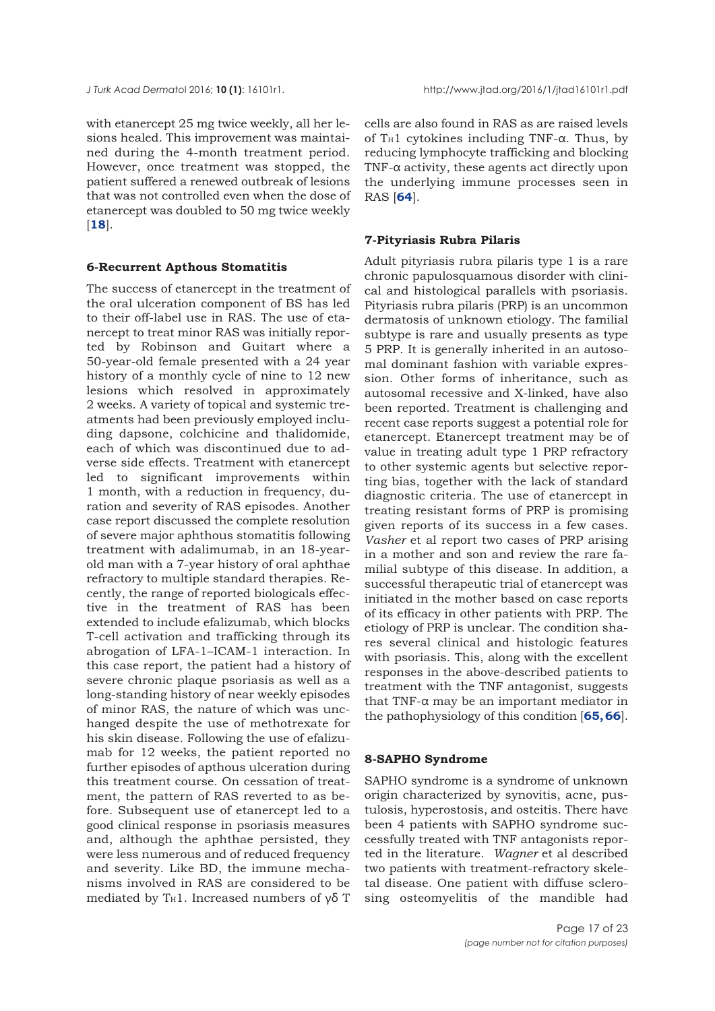with etanercept 25 mg twice weekly, all her lesions healed. This improvement was maintained during the 4-month treatment period. However, once treatment was stopped, the patient suffered a renewed outbreak of lesions that was not controlled even when the dose of etanercept was doubled to 50 mg twice weekly [**[18](#page-20-0)**].

## **6-Recurrent Apthous Stomatitis**

The success of etanercept in the treatment of the oral ulceration component of BS has led to their off-label use in RAS. The use of etanercept to treat minor RAS was initially reported by Robinson and Guitart where a 50-year-old female presented with a 24 year history of a monthly cycle of nine to 12 new lesions which resolved in approximately 2 weeks. A variety of topical and systemic treatments had been previously employed including dapsone, colchicine and thalidomide, each of which was discontinued due to adverse side effects. Treatment with etanercept led to significant improvements within 1 month, with a reduction in frequency, duration and severity of RAS episodes. Another case report discussed the complete resolution of severe major aphthous stomatitis following treatment with adalimumab, in an 18-yearold man with a 7-year history of oral aphthae refractory to multiple standard therapies. Recently, the range of reported biologicals effective in the treatment of RAS has been extended to include efalizumab, which blocks T-cell activation and trafficking through its abrogation of LFA-1–ICAM-1 interaction. In this case report, the patient had a history of severe chronic plaque psoriasis as well as a long-standing history of near weekly episodes of minor RAS, the nature of which was unchanged despite the use of methotrexate for his skin disease. Following the use of efalizumab for 12 weeks, the patient reported no further episodes of apthous ulceration during this treatment course. On cessation of treatment, the pattern of RAS reverted to as before. Subsequent use of etanercept led to a good clinical response in psoriasis measures and, although the aphthae persisted, they were less numerous and of reduced frequency and severity. Like BD, the immune mechanisms involved in RAS are considered to be mediated by T<sub>H</sub>1. Increased numbers of γδ T

cells are also found in RAS as are raised levels of T<sub>H</sub>1 cytokines including TNF- $\alpha$ . Thus, by reducing lymphocyte trafficking and blocking TNF-α activity, these agents act directly upon the underlying immune processes seen in RAS [**[64](#page-22-0)**].

#### **7-Pityriasis Rubra Pilaris**

Adult pityriasis rubra pilaris type 1 is a rare chronic papulosquamous disorder with clinical and histological parallels with psoriasis. Pityriasis rubra pilaris (PRP) is an uncommon dermatosis of unknown etiology. The familial subtype is rare and usually presents as type 5 PRP. It is generally inherited in an autosomal dominant fashion with variable expression. Other forms of inheritance, such as autosomal recessive and X-linked, have also been reported. Treatment is challenging and recent case reports suggest a potential role for etanercept. Etanercept treatment may be of value in treating adult type 1 PRP refractory to other systemic agents but selective reporting bias, together with the lack of standard diagnostic criteria. The use of etanercept in treating resistant forms of PRP is promising given reports of its success in a few cases. *Vasher* et al report two cases of PRP arising in a mother and son and review the rare familial subtype of this disease. In addition, a successful therapeutic trial of etanercept was initiated in the mother based on case reports of its efficacy in other patients with PRP. The etiology of PRP is unclear. The condition shares several clinical and histologic features with psoriasis. This, along with the excellent responses in the above-described patients to treatment with the TNF antagonist, suggests that TNF-α may be an important mediator in the pathophysiology of this condition [**[65,](#page-21-0) [66](#page-22-0)**].

## **8-SAPHO Syndrome**

SAPHO syndrome is a syndrome of unknown origin characterized by synovitis, acne, pustulosis, hyperostosis, and osteitis. There have been 4 patients with SAPHO syndrome successfully treated with TNF antagonists reported in the literature. *Wagner* et al described two patients with treatment-refractory skeletal disease. One patient with diffuse sclerosing osteomyelitis of the mandible had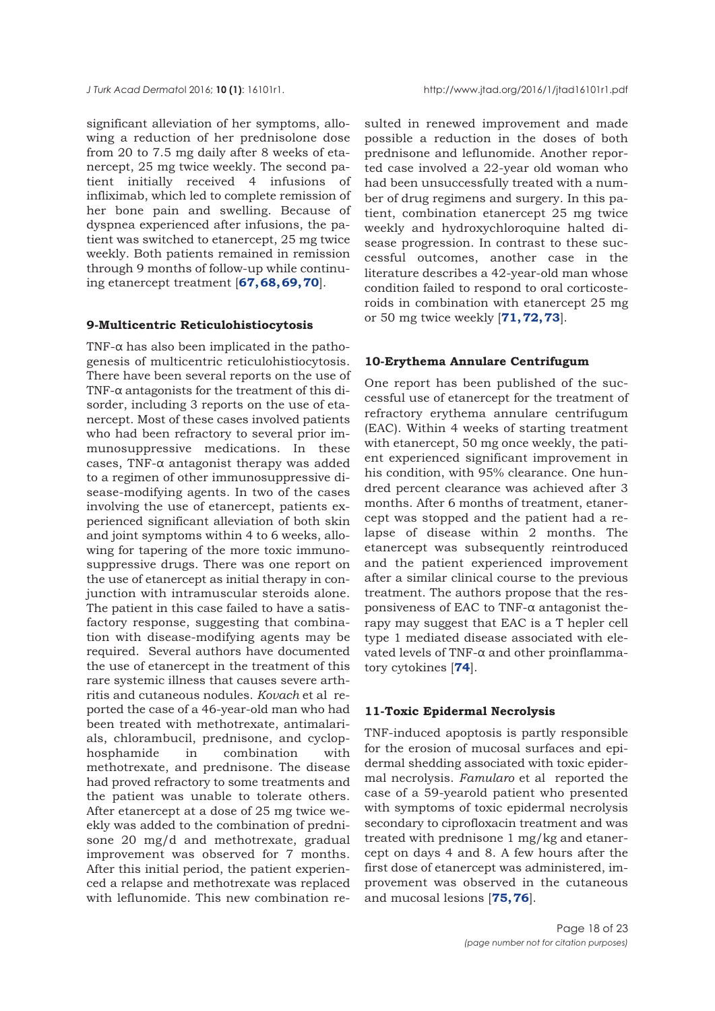significant alleviation of her symptoms, allowing a reduction of her prednisolone dose from 20 to 7.5 mg daily after 8 weeks of etanercept, 25 mg twice weekly. The second patient initially received 4 infusions of infliximab, which led to complete remission of her bone pain and swelling. Because of dyspnea experienced after infusions, the patient was switched to etanercept, 25 mg twice weekly. Both patients remained in remission through 9 months of follow-up while continuing etanercept treatment [**[67,](#page-21-0) [68,69, 70](#page-22-0)**].

#### **9-Multicentric Reticulohistiocytosis**

TNF- $\alpha$  has also been implicated in the pathogenesis of multicentric reticulohistiocytosis. There have been several reports on the use of TNF-α antagonists for the treatment of this disorder, including 3 reports on the use of etanercept. Most of these cases involved patients who had been refractory to several prior immunosuppressive medications. In these cases, TNF- $\alpha$  antagonist therapy was added to a regimen of other immunosuppressive disease-modifying agents. In two of the cases involving the use of etanercept, patients experienced significant alleviation of both skin and joint symptoms within 4 to 6 weeks, allowing for tapering of the more toxic immunosuppressive drugs. There was one report on the use of etanercept as initial therapy in conjunction with intramuscular steroids alone. The patient in this case failed to have a satisfactory response, suggesting that combination with disease-modifying agents may be required. Several authors have documented the use of etanercept in the treatment of this rare systemic illness that causes severe arthritis and cutaneous nodules. *Kovach* et al reported the case of a 46-year-old man who had been treated with methotrexate, antimalarials, chlorambucil, prednisone, and cyclophosphamide in combination with methotrexate, and prednisone. The disease had proved refractory to some treatments and the patient was unable to tolerate others. After etanercept at a dose of 25 mg twice weekly was added to the combination of prednisone 20 mg/d and methotrexate, gradual improvement was observed for 7 months. After this initial period, the patient experienced a relapse and methotrexate was replaced with leflunomide. This new combination resulted in renewed improvement and made possible a reduction in the doses of both prednisone and leflunomide. Another reported case involved a 22-year old woman who had been unsuccessfully treated with a number of drug regimens and surgery. In this patient, combination etanercept 25 mg twice weekly and hydroxychloroquine halted disease progression. In contrast to these successful outcomes, another case in the literature describes a 42-year-old man whose condition failed to respond to oral corticosteroids in combination with etanercept 25 mg or 50 mg twice weekly [**[71, 72, 73](#page-22-0)**].

# **10-Erythema Annulare Centrifugum**

One report has been published of the successful use of etanercept for the treatment of refractory erythema annulare centrifugum (EAC). Within 4 weeks of starting treatment with etanercept, 50 mg once weekly, the patient experienced significant improvement in his condition, with 95% clearance. One hundred percent clearance was achieved after 3 months. After 6 months of treatment, etanercept was stopped and the patient had a relapse of disease within 2 months. The etanercept was subsequently reintroduced and the patient experienced improvement after a similar clinical course to the previous treatment. The authors propose that the responsiveness of EAC to TNF-α antagonist therapy may suggest that EAC is a T hepler cell type 1 mediated disease associated with elevated levels of TNF-α and other proinflammatory cytokines [**[74](#page-22-0)**].

### **11-Toxic Epidermal Necrolysis**

TNF-induced apoptosis is partly responsible for the erosion of mucosal surfaces and epidermal shedding associated with toxic epidermal necrolysis. *Famularo* et al reported the case of a 59-yearold patient who presented with symptoms of toxic epidermal necrolysis secondary to ciprofloxacin treatment and was treated with prednisone 1 mg/kg and etanercept on days 4 and 8. A few hours after the first dose of etanercept was administered, improvement was observed in the cutaneous and mucosal lesions [**[75, 76](#page-22-0)**].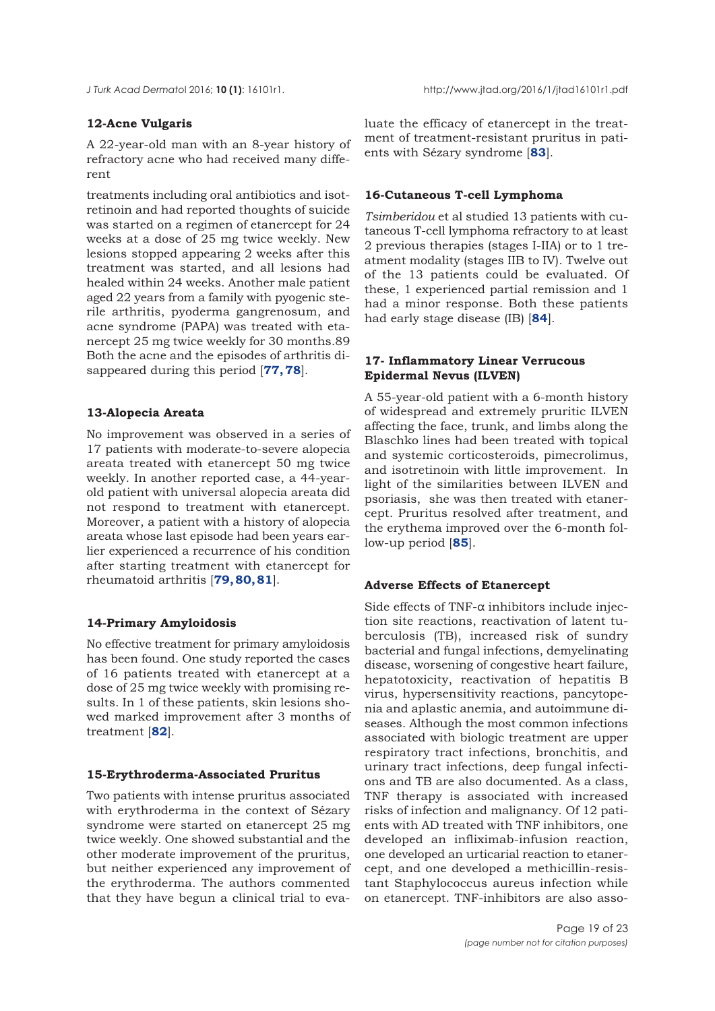# **12-Acne Vulgaris**

A 22-year-old man with an 8-year history of refractory acne who had received many different

treatments including oral antibiotics and isotretinoin and had reported thoughts of suicide was started on a regimen of etanercept for 24 weeks at a dose of 25 mg twice weekly. New lesions stopped appearing 2 weeks after this treatment was started, and all lesions had healed within 24 weeks. Another male patient aged 22 years from a family with pyogenic sterile arthritis, pyoderma gangrenosum, and acne syndrome (PAPA) was treated with etanercept 25 mg twice weekly for 30 months.89 Both the acne and the episodes of arthritis disappeared during this period [**[77, 78](#page-22-0)**].

## **13-Alopecia Areata**

No improvement was observed in a series of 17 patients with moderate-to-severe alopecia areata treated with etanercept 50 mg twice weekly. In another reported case, a 44-yearold patient with universal alopecia areata did not respond to treatment with etanercept. Moreover, a patient with a history of alopecia areata whose last episode had been years earlier experienced a recurrence of his condition after starting treatment with etanercept for rheumatoid arthritis [**[79, 80, 81](#page-22-0)**].

## **14-Primary Amyloidosis**

No effective treatment for primary amyloidosis has been found. One study reported the cases of 16 patients treated with etanercept at a dose of 25 mg twice weekly with promising results. In 1 of these patients, skin lesions showed marked improvement after 3 months of treatment [**[82](#page-22-0)**].

## **15-Erythroderma-Associated Pruritus**

Two patients with intense pruritus associated with erythroderma in the context of Sézary syndrome were started on etanercept 25 mg twice weekly. One showed substantial and the other moderate improvement of the pruritus, but neither experienced any improvement of the erythroderma. The authors commented that they have begun a clinical trial to evaluate the efficacy of etanercept in the treatment of treatment-resistant pruritus in patients with Sézary syndrome [**[83](#page-22-0)**].

## **16-Cutaneous T-cell Lymphoma**

*Tsimberidou* et al studied 13 patients with cutaneous T-cell lymphoma refractory to at least 2 previous therapies (stages I-IIA) or to 1 treatment modality (stages IIB to IV). Twelve out of the 13 patients could be evaluated. Of these, 1 experienced partial remission and 1 had a minor response. Both these patients had early stage disease (IB) [**[84](#page-22-0)**].

# **17- Inflammatory Linear Verrucous Epidermal Nevus (ILVEN)**

A 55-year-old patient with a 6-month history of widespread and extremely pruritic ILVEN affecting the face, trunk, and limbs along the Blaschko lines had been treated with topical and systemic corticosteroids, pimecrolimus, and isotretinoin with little improvement. In light of the similarities between ILVEN and psoriasis, she was then treated with etanercept. Pruritus resolved after treatment, and the erythema improved over the 6-month follow-up period [**[85](#page-22-0)**].

## **Adverse Effects of Etanercept**

Side effects of TNF- $\alpha$  inhibitors include injection site reactions, reactivation of latent tuberculosis (TB), increased risk of sundry bacterial and fungal infections, demyelinating disease, worsening of congestive heart failure, hepatotoxicity, reactivation of hepatitis B virus, hypersensitivity reactions, pancytopenia and aplastic anemia, and autoimmune diseases. Although the most common infections associated with biologic treatment are upper respiratory tract infections, bronchitis, and urinary tract infections, deep fungal infections and TB are also documented. As a class, TNF therapy is associated with increased risks of infection and malignancy. Of 12 patients with AD treated with TNF inhibitors, one developed an infliximab-infusion reaction, one developed an urticarial reaction to etanercept, and one developed a methicillin-resistant Staphylococcus aureus infection while on etanercept. TNF-inhibitors are also asso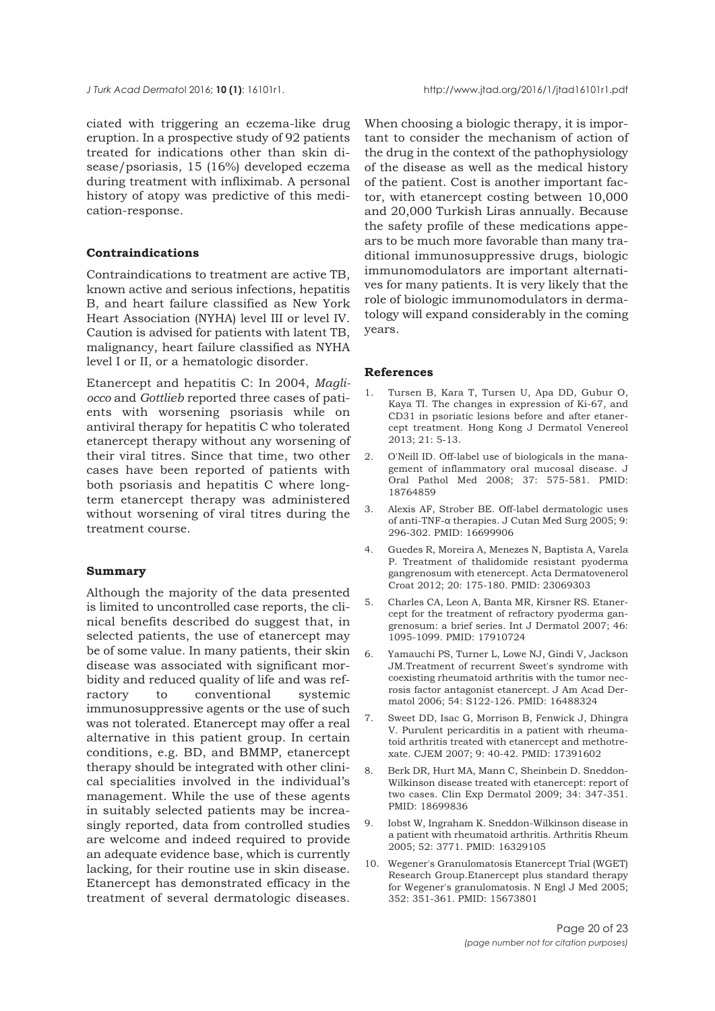<span id="page-19-0"></span>ciated with triggering an eczema-like drug eruption. In a prospective study of 92 patients treated for indications other than skin disease/psoriasis, 15 (16%) developed eczema during treatment with infliximab. A personal history of atopy was predictive of this medication-response.

#### **Contraindications**

Contraindications to treatment are active TB, known active and serious infections, hepatitis B, and heart failure classified as New York Heart Association (NYHA) level III or level IV. Caution is advised for patients with latent TB, malignancy, heart failure classified as NYHA level I or II, or a hematologic disorder.

Etanercept and hepatitis C: In 2004, *Magliocco* and *Gottlieb* reported three cases of patients with worsening psoriasis while on antiviral therapy for hepatitis C who tolerated etanercept therapy without any worsening of their viral titres. Since that time, two other cases have been reported of patients with both psoriasis and hepatitis C where longterm etanercept therapy was administered without worsening of viral titres during the treatment course.

## **Summary**

Although the majority of the data presented is limited to uncontrolled case reports, the clinical benefits described do suggest that, in selected patients, the use of etanercept may be of some value. In many patients, their skin disease was associated with significant morbidity and reduced quality of life and was refractory to conventional systemic immunosuppressive agents or the use of such was not tolerated. Etanercept may offer a real alternative in this patient group. In certain conditions, e.g. BD, and BMMP, etanercept therapy should be integrated with other clinical specialities involved in the individual's management. While the use of these agents in suitably selected patients may be increasingly reported, data from controlled studies are welcome and indeed required to provide an adequate evidence base, which is currently lacking, for their routine use in skin disease. Etanercept has demonstrated efficacy in the treatment of several dermatologic diseases.

When choosing a biologic therapy, it is important to consider the mechanism of action of the drug in the context of the pathophysiology of the disease as well as the medical history of the patient. Cost is another important factor, with etanercept costing between 10,000 and 20,000 Turkish Liras annually. Because the safety profile of these medications appears to be much more favorable than many traditional immunosuppressive drugs, biologic immunomodulators are important alternatives for many patients. It is very likely that the role of biologic immunomodulators in dermatology will expand considerably in the coming years.

#### **References**

- 1. Tursen B, Kara T, Tursen U, Apa DD, Gubur O, Kaya TI. The changes in expression of Ki-67, and CD31 in psoriatic lesions before and after etanercept treatment. Hong Kong J Dermatol Venereol 2013; 21: 5-13.
- 2. O'Neill ID. Off-label use of biologicals in the management of inflammatory oral mucosal disease. J Oral Pathol Med 2008; 37: 575-581. PMID: 18764859
- 3. Alexis AF, Strober BE. Off-label dermatologic uses of anti-TNF-α therapies. J Cutan Med Surg 2005; 9: 296-302. PMID: 16699906
- 4. Guedes R, Moreira A, Menezes N, Baptista A, Varela P. Treatment of thalidomide resistant pyoderma gangrenosum with etenercept. Acta Dermatovenerol Croat 2012; 20: 175-180. PMID: 23069303
- 5. Charles CA, Leon A, Banta MR, Kirsner RS. Etanercept for the treatment of refractory pyoderma gangrenosum: a brief series. Int J Dermatol 2007; 46: 1095-1099. PMID: 17910724
- 6. Yamauchi PS, Turner L, Lowe NJ, Gindi V, Jackson JM.Treatment of recurrent Sweet's syndrome with coexisting rheumatoid arthritis with the tumor necrosis factor antagonist etanercept. J Am Acad Dermatol 2006; 54: S122-126. PMID: 16488324
- 7. Sweet DD, Isac G, Morrison B, Fenwick J, Dhingra V. Purulent pericarditis in a patient with rheumatoid arthritis treated with etanercept and methotrexate. CJEM 2007; 9: 40-42. PMID: 17391602
- 8. Berk DR, Hurt MA, Mann C, Sheinbein D. Sneddon-Wilkinson disease treated with etanercept: report of two cases. Clin Exp Dermatol 2009; 34: 347-351. PMID: 18699836
- 9. Iobst W, Ingraham K. Sneddon-Wilkinson disease in a patient with rheumatoid arthritis. Arthritis Rheum 2005; 52: 3771. PMID: 16329105
- 10. Wegener's Granulomatosis Etanercept Trial (WGET) Research Group.Etanercept plus standard therapy for Wegener's granulomatosis. N Engl J Med 2005; 352: 351-361. PMID: 15673801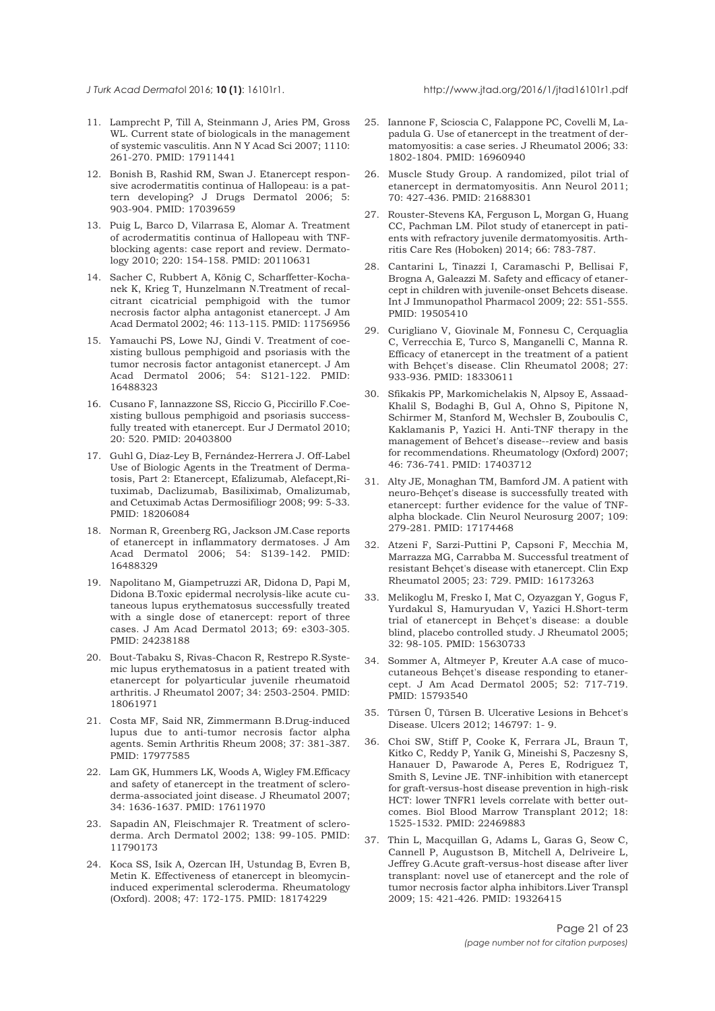#### <span id="page-20-0"></span>*J Turk Acad Dermato*l 2016; **10 (1)**: 16101r1. http://www.jtad.org/2016/1/jtad16101r1.pdf

- 11. Lamprecht P, Till A, Steinmann J, Aries PM, Gross WL. Current state of biologicals in the management of systemic vasculitis. Ann N Y Acad Sci 2007; 1110: 261-270. PMID: 17911441
- 12. Bonish B, Rashid RM, Swan J. Etanercept responsive acrodermatitis continua of Hallopeau: is a pattern developing? J Drugs Dermatol 2006; 5: 903-904. PMID: 17039659
- 13. Puig L, Barco D, Vilarrasa E, Alomar A. Treatment of acrodermatitis continua of Hallopeau with TNFblocking agents: case report and review. Dermatology 2010; 220: 154-158. PMID: 20110631
- 14. Sacher C, Rubbert A, König C, Scharffetter-Kochanek K, Krieg T, Hunzelmann N.Treatment of recalcitrant cicatricial pemphigoid with the tumor necrosis factor alpha antagonist etanercept. J Am Acad Dermatol 2002; 46: 113-115. PMID: 11756956
- 15. Yamauchi PS, Lowe NJ, Gindi V. Treatment of coexisting bullous pemphigoid and psoriasis with the tumor necrosis factor antagonist etanercept. J Am Acad Dermatol 2006; 54: S121-122. PMID: 16488323
- 16. Cusano F, Iannazzone SS, Riccio G, Piccirillo F.Coexisting bullous pemphigoid and psoriasis successfully treated with etanercept. Eur J Dermatol 2010; 20: 520. PMID: 20403800
- 17. Guhl G, Díaz-Ley B, Fernández-Herrera J. Off-Label Use of Biologic Agents in the Treatment of Dermatosis, Part 2: Etanercept, Efalizumab, Alefacept,Rituximab, Daclizumab, Basiliximab, Omalizumab, and Cetuximab Actas Dermosifiliogr 2008; 99: 5-33. PMID: 18206084
- 18. Norman R, Greenberg RG, Jackson JM.Case reports of etanercept in inflammatory dermatoses. J Am Acad Dermatol 2006; 54: S139-142. PMID: 16488329
- 19. Napolitano M, Giampetruzzi AR, Didona D, Papi M, Didona B.Toxic epidermal necrolysis-like acute cutaneous lupus erythematosus successfully treated with a single dose of etanercept: report of three cases. J Am Acad Dermatol 2013; 69: e303-305. PMID: 24238188
- 20. Bout-Tabaku S, Rivas-Chacon R, Restrepo R.Systemic lupus erythematosus in a patient treated with etanercept for polyarticular juvenile rheumatoid arthritis. J Rheumatol 2007; 34: 2503-2504. PMID: 18061971
- 21. Costa MF, Said NR, Zimmermann B.Drug-induced lupus due to anti-tumor necrosis factor alpha agents. Semin Arthritis Rheum 2008; 37: 381-387. PMID: 17977585
- 22. Lam GK, Hummers LK, Woods A, Wigley FM.Efficacy and safety of etanercept in the treatment of scleroderma-associated joint disease. J Rheumatol 2007; 34: 1636-1637. PMID: 17611970
- 23. Sapadin AN, Fleischmajer R. Treatment of scleroderma. Arch Dermatol 2002; 138: 99-105. PMID: 11790173
- 24. Koca SS, Isik A, Ozercan IH, Ustundag B, Evren B, Metin K. Effectiveness of etanercept in bleomycininduced experimental scleroderma. Rheumatology (Oxford). 2008; 47: 172-175. PMID: 18174229
- 25. Iannone F, Scioscia C, Falappone PC, Covelli M, Lapadula G. Use of etanercept in the treatment of dermatomyositis: a case series. J Rheumatol 2006; 33: 1802-1804. PMID: 16960940
- 26. Muscle Study Group. A randomized, pilot trial of etanercept in dermatomyositis. Ann Neurol 2011; 70: 427-436. PMID: 21688301
- 27. Rouster-Stevens KA, Ferguson L, Morgan G, Huang CC, Pachman LM. Pilot study of etanercept in patients with refractory juvenile dermatomyositis. Arthritis Care Res (Hoboken) 2014; 66: 783-787.
- 28. Cantarini L, Tinazzi I, Caramaschi P, Bellisai F, Brogna A, Galeazzi M. Safety and efficacy of etanercept in children with juvenile-onset Behcets disease. Int J Immunopathol Pharmacol 2009; 22: 551-555. PMID: 19505410
- 29. Curigliano V, Giovinale M, Fonnesu C, Cerquaglia C, Verrecchia E, Turco S, Manganelli C, Manna R. Efficacy of etanercept in the treatment of a patient with Behçet's disease. Clin Rheumatol 2008; 27: 933-936. PMID: 18330611
- 30. Sfikakis PP, Markomichelakis N, Alpsoy E, Assaad-Khalil S, Bodaghi B, Gul A, Ohno S, Pipitone N, Schirmer M, Stanford M, Wechsler B, Zouboulis C, Kaklamanis P, Yazici H. Anti-TNF therapy in the management of Behcet's disease--review and basis for recommendations. Rheumatology (Oxford) 2007; 46: 736-741. PMID: 17403712
- 31. Alty JE, Monaghan TM, Bamford JM. A patient with neuro-Behçet's disease is successfully treated with etanercept: further evidence for the value of TNFalpha blockade. Clin Neurol Neurosurg 2007; 109: 279-281. PMID: 17174468
- 32. Atzeni F, Sarzi-Puttini P, Capsoni F, Mecchia M, Marrazza MG, Carrabba M. Successful treatment of resistant Behçet's disease with etanercept. Clin Exp Rheumatol 2005; 23: 729. PMID: 16173263
- 33. Melikoglu M, Fresko I, Mat C, Ozyazgan Y, Gogus F, Yurdakul S, Hamuryudan V, Yazici H.Short-term trial of etanercept in Behçet's disease: a double blind, placebo controlled study. J Rheumatol 2005; 32: 98-105. PMID: 15630733
- 34. Sommer A, Altmeyer P, Kreuter A.A case of mucocutaneous Behçet's disease responding to etanercept. J Am Acad Dermatol 2005; 52: 717-719. PMID: 15793540
- 35. Türsen Ü, Türsen B. Ulcerative Lesions in Behcet's Disease. Ulcers 2012; 146797: 1- 9.
- 36. Choi SW, Stiff P, Cooke K, Ferrara JL, Braun T, Kitko C, Reddy P, Yanik G, Mineishi S, Paczesny S, Hanauer D, Pawarode A, Peres E, Rodriguez T, Smith S, Levine JE. TNF-inhibition with etanercept for graft-versus-host disease prevention in high-risk HCT: lower TNFR1 levels correlate with better outcomes. Biol Blood Marrow Transplant 2012; 18: 1525-1532. PMID: 22469883
- 37. Thin L, Macquillan G, Adams L, Garas G, Seow C, Cannell P, Augustson B, Mitchell A, Delriveire L, Jeffrey G.Acute graft-versus-host disease after liver transplant: novel use of etanercept and the role of tumor necrosis factor alpha inhibitors.Liver Transpl 2009; 15: 421-426. PMID: 19326415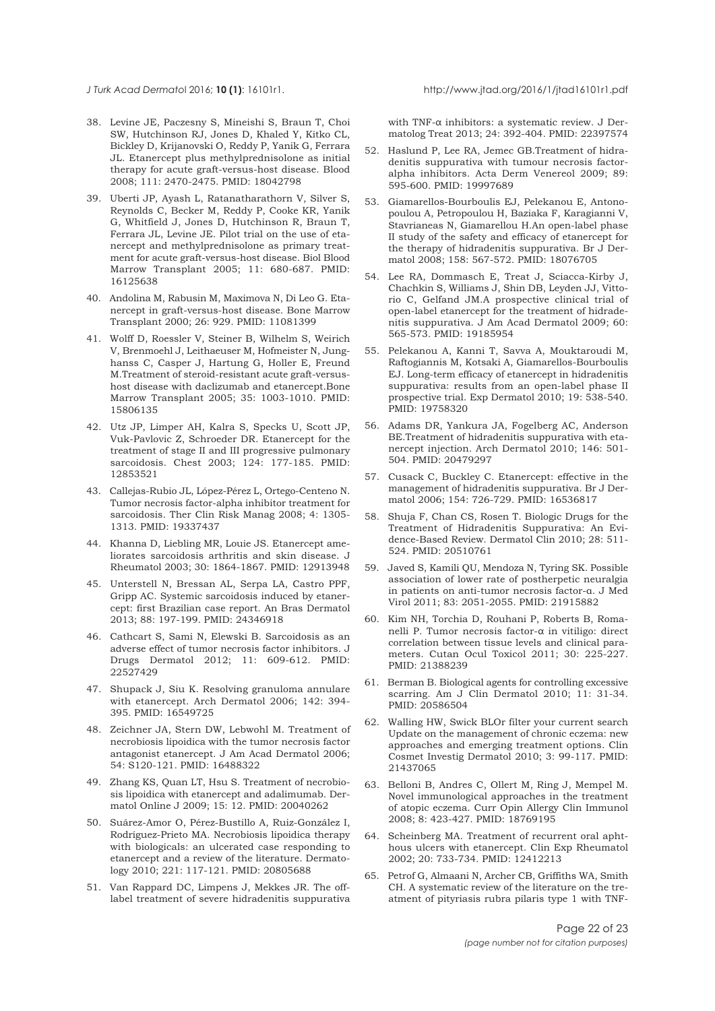<span id="page-21-0"></span>

- 38. Levine JE, Paczesny S, Mineishi S, Braun T, Choi SW, Hutchinson RJ, Jones D, Khaled Y, Kitko CL, Bickley D, Krijanovski O, Reddy P, Yanik G, Ferrara JL. Etanercept plus methylprednisolone as initial therapy for acute graft-versus-host disease. Blood 2008; 111: 2470-2475. PMID: 18042798
- 39. Uberti JP, Ayash L, Ratanatharathorn V, Silver S, Reynolds C, Becker M, Reddy P, Cooke KR, Yanik G, Whitfield J, Jones D, Hutchinson R, Braun T, Ferrara JL, Levine JE. Pilot trial on the use of etanercept and methylprednisolone as primary treatment for acute graft-versus-host disease. Biol Blood Marrow Transplant 2005; 11: 680-687. PMID: 16125638
- 40. Andolina M, Rabusin M, Maximova N, Di Leo G. Etanercept in graft-versus-host disease. Bone Marrow Transplant 2000; 26: 929. PMID: 11081399
- 41. Wolff D, Roessler V, Steiner B, Wilhelm S, Weirich V, Brenmoehl J, Leithaeuser M, Hofmeister N, Junghanss C, Casper J, Hartung G, Holler E, Freund M.Treatment of steroid-resistant acute graft-versushost disease with daclizumab and etanercept.Bone Marrow Transplant 2005; 35: 1003-1010. PMID: 15806135
- 42. Utz JP, Limper AH, Kalra S, Specks U, Scott JP, Vuk-Pavlovic Z, Schroeder DR. Etanercept for the treatment of stage II and III progressive pulmonary sarcoidosis. Chest 2003; 124: 177-185. PMID: 12853521
- 43. Callejas-Rubio JL, López-Pérez L, Ortego-Centeno N. Tumor necrosis factor-alpha inhibitor treatment for sarcoidosis. Ther Clin Risk Manag 2008; 4: 1305- 1313. PMID: 19337437
- 44. Khanna D, Liebling MR, Louie JS. Etanercept ameliorates sarcoidosis arthritis and skin disease. J Rheumatol 2003; 30: 1864-1867. PMID: 12913948
- 45. Unterstell N, Bressan AL, Serpa LA, Castro PPF, Gripp AC. Systemic sarcoidosis induced by etanercept: first Brazilian case report. An Bras Dermatol 2013; 88: 197-199. PMID: 24346918
- 46. Cathcart S, Sami N, Elewski B. Sarcoidosis as an adverse effect of tumor necrosis factor inhibitors. J Drugs Dermatol 2012; 11: 609-612. PMID: 22527429
- 47. Shupack J, Siu K. Resolving granuloma annulare with etanercept. Arch Dermatol 2006; 142: 394- 395. PMID: 16549725
- 48. Zeichner JA, Stern DW, Lebwohl M. Treatment of necrobiosis lipoidica with the tumor necrosis factor antagonist etanercept. J Am Acad Dermatol 2006; 54: S120-121. PMID: 16488322
- 49. Zhang KS, Quan LT, Hsu S. Treatment of necrobiosis lipoidica with etanercept and adalimumab. Dermatol Online J 2009; 15: 12. PMID: 20040262
- 50. Suárez-Amor O, Pérez-Bustillo A, Ruiz-González I, Rodríguez-Prieto MA. Necrobiosis lipoidica therapy with biologicals: an ulcerated case responding to etanercept and a review of the literature. Dermatology 2010; 221: 117-121. PMID: 20805688
- 51. Van Rappard DC, Limpens J, Mekkes JR. The offlabel treatment of severe hidradenitis suppurativa

with TNF-α inhibitors: a systematic review. J Dermatolog Treat 2013; 24: 392-404. PMID: 22397574

- 52. Haslund P, Lee RA, Jemec GB.Treatment of hidradenitis suppurativa with tumour necrosis factoralpha inhibitors. Acta Derm Venereol 2009; 89: 595-600. PMID: 19997689
- 53. Giamarellos-Bourboulis EJ, Pelekanou E, Antonopoulou A, Petropoulou H, Baziaka F, Karagianni V, Stavrianeas N, Giamarellou H.An open-label phase II study of the safety and efficacy of etanercept for the therapy of hidradenitis suppurativa. Br J Dermatol 2008; 158: 567-572. PMID: 18076705
- 54. Lee RA, Dommasch E, Treat J, Sciacca-Kirby J, Chachkin S, Williams J, Shin DB, Leyden JJ, Vittorio C, Gelfand JM.A prospective clinical trial of open-label etanercept for the treatment of hidradenitis suppurativa. J Am Acad Dermatol 2009; 60: 565-573. PMID: 19185954
- 55. Pelekanou A, Kanni T, Savva A, Mouktaroudi M, Raftogiannis M, Kotsaki A, Giamarellos-Bourboulis EJ. Long-term efficacy of etanercept in hidradenitis suppurativa: results from an open-label phase II prospective trial. Exp Dermatol 2010; 19: 538-540. PMID: 19758320
- 56. Adams DR, Yankura JA, Fogelberg AC, Anderson BE.Treatment of hidradenitis suppurativa with etanercept injection. Arch Dermatol 2010; 146: 501- 504. PMID: 20479297
- 57. Cusack C, Buckley C. Etanercept: effective in the management of hidradenitis suppurativa. Br J Dermatol 2006; 154: 726-729. PMID: 16536817
- 58. Shuja F, Chan CS, Rosen T. Biologic Drugs for the Treatment of Hidradenitis Suppurativa: An Evidence-Based Review. Dermatol Clin 2010; 28: 511- 524. PMID: 20510761
- 59. Javed S, Kamili QU, Mendoza N, Tyring SK. Possible association of lower rate of postherpetic neuralgia in patients on anti-tumor necrosis factor-α. J Med Virol 2011; 83: 2051-2055. PMID: 21915882
- 60. Kim NH, Torchia D, Rouhani P, Roberts B, Romanelli P. Tumor necrosis factor-α in vitiligo: direct correlation between tissue levels and clinical parameters. Cutan Ocul Toxicol 2011; 30: 225-227. PMID: 21388239
- 61. Berman B. Biological agents for controlling excessive scarring. Am J Clin Dermatol 2010; 11: 31-34. PMID: 20586504
- 62. Walling HW, Swick BLOr filter your current search Update on the management of chronic eczema: new approaches and emerging treatment options. Clin Cosmet Investig Dermatol 2010; 3: 99-117. PMID: 21437065
- 63. Belloni B, Andres C, Ollert M, Ring J, Mempel M. Novel immunological approaches in the treatment of atopic eczema. Curr Opin Allergy Clin Immunol 2008; 8: 423-427. PMID: 18769195
- 64. Scheinberg MA. Treatment of recurrent oral aphthous ulcers with etanercept. Clin Exp Rheumatol 2002; 20: 733-734. PMID: 12412213
- 65. Petrof G, Almaani N, Archer CB, Griffiths WA, Smith CH. A systematic review of the literature on the treatment of pityriasis rubra pilaris type 1 with TNF-